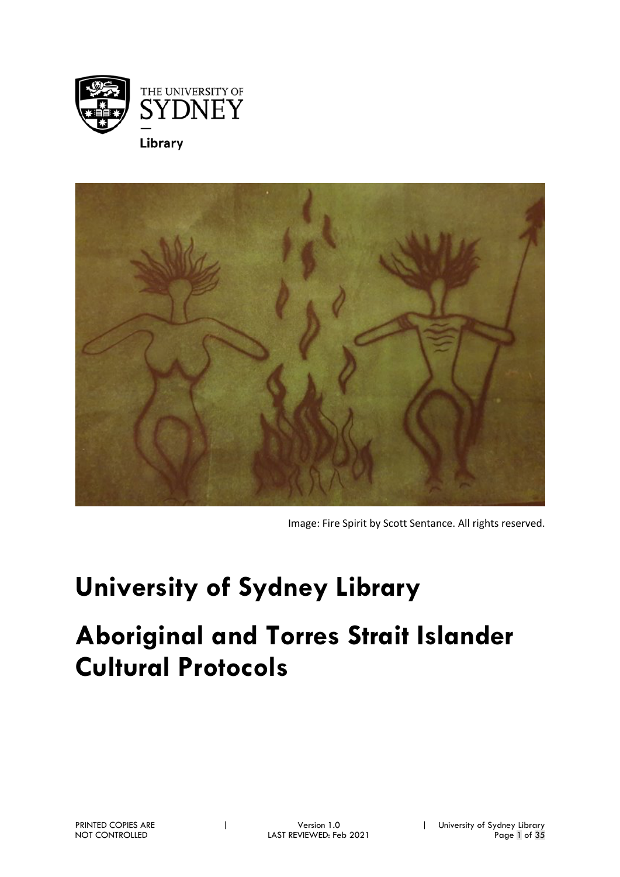



Image: Fire Spirit by Scott Sentance. All rights reserved.

# **University of Sydney Library**

## **Aboriginal and Torres Strait Islander Cultural Protocols**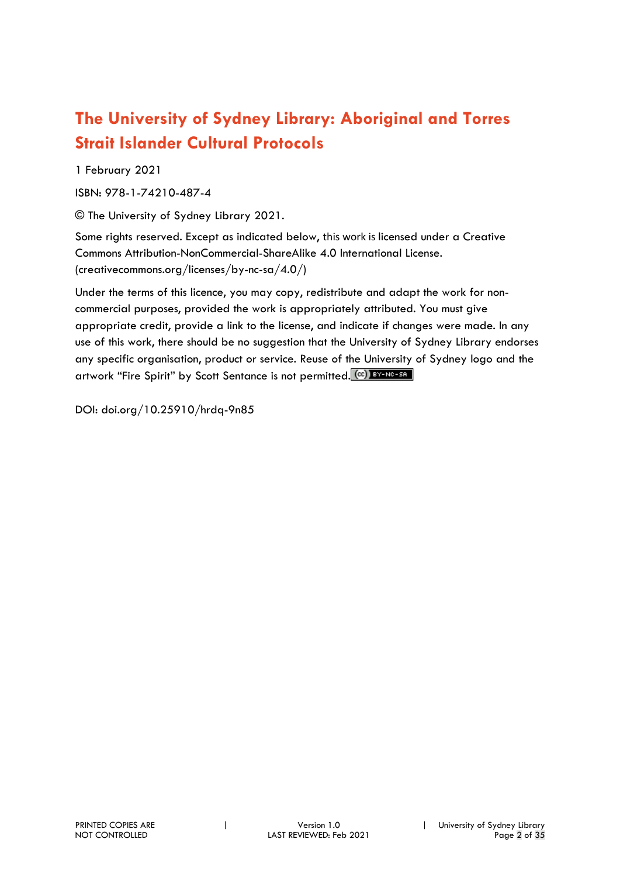## **The University of Sydney Library: Aboriginal and Torres Strait Islander Cultural Protocols**

1 February 2021

ISBN: 978-1-74210-487-4

© The University of Sydney Library 2021.

Some rights reserved. Except as indicated below, this work is licensed under a Creative Commons Attribution-NonCommercial-ShareAlike 4.0 International License. (creativecommons.org/licenses/by-nc-sa/4.0/)

Under the terms of this licence, you may copy, redistribute and adapt the work for noncommercial purposes, provided the work is appropriately attributed. You must give appropriate credit, provide a link to the license, and indicate if changes were made. In any use of this work, there should be no suggestion that the University of Sydney Library endorses any specific organisation, product or service. Reuse of the University of Sydney logo and the artwork "Fire Spirit" by Scott Sentance is not permitted. (CC) BY-NO-SA

DOI: doi.org/10.25910/hrdq-9n85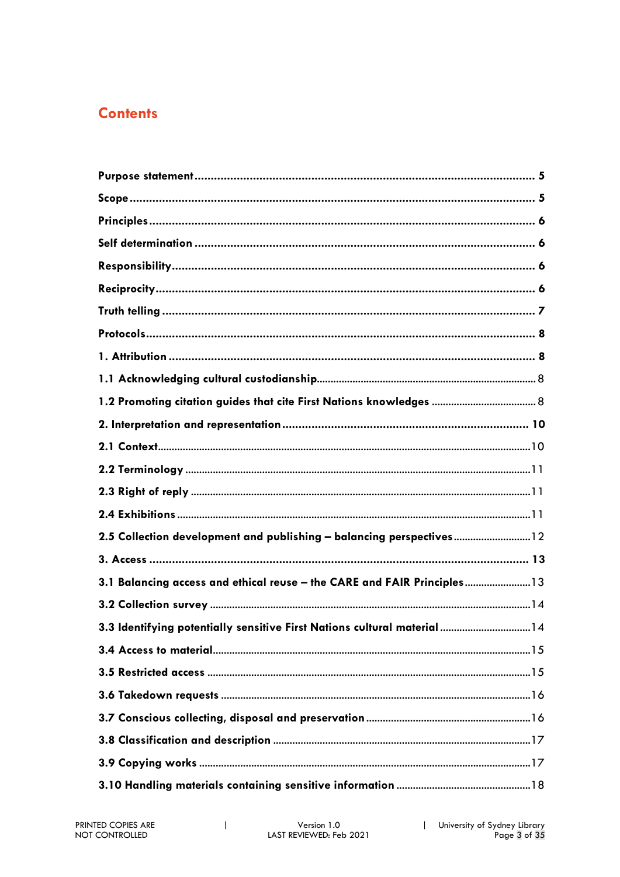## **Contents**

| 1.2 Promoting citation guides that cite First Nations knowledges  8       |
|---------------------------------------------------------------------------|
|                                                                           |
|                                                                           |
|                                                                           |
|                                                                           |
|                                                                           |
| 2.5 Collection development and publishing - balancing perspectives 12     |
|                                                                           |
| 3.1 Balancing access and ethical reuse - the CARE and FAIR Principles 13  |
|                                                                           |
| 3.3 Identifying potentially sensitive First Nations cultural material  14 |
|                                                                           |
|                                                                           |
|                                                                           |
|                                                                           |
|                                                                           |
|                                                                           |
|                                                                           |

 $\mathsf I$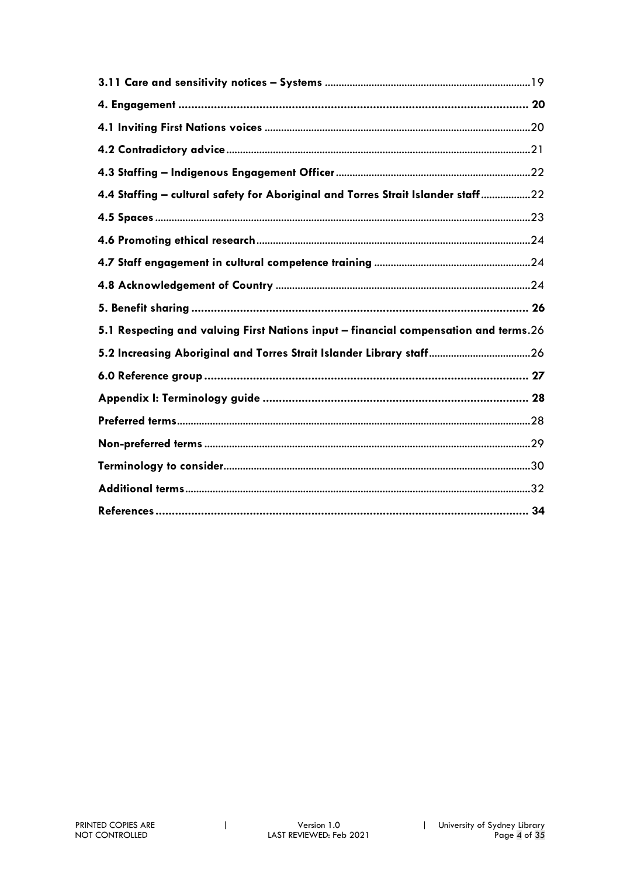| 4.4 Staffing - cultural safety for Aboriginal and Torres Strait Islander staff22     |  |
|--------------------------------------------------------------------------------------|--|
|                                                                                      |  |
|                                                                                      |  |
|                                                                                      |  |
|                                                                                      |  |
|                                                                                      |  |
|                                                                                      |  |
| 5.1 Respecting and valuing First Nations input - financial compensation and terms.26 |  |
| 5.2 Increasing Aboriginal and Torres Strait Islander Library staff 26                |  |
|                                                                                      |  |
|                                                                                      |  |
|                                                                                      |  |
|                                                                                      |  |
|                                                                                      |  |
|                                                                                      |  |

 $\mathbf{I}$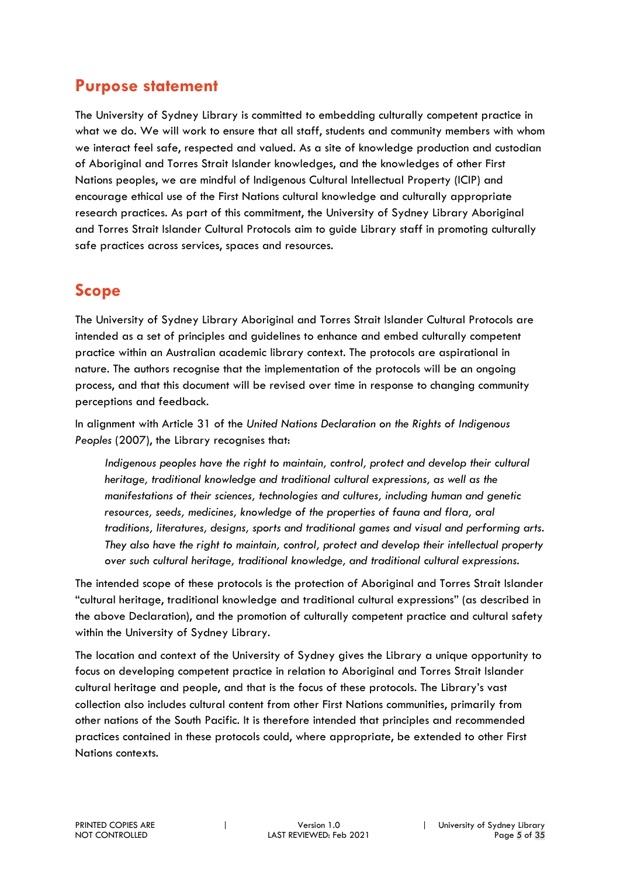## **Purpose statement**

The University of Sydney Library is committed to embedding culturally competent practice in what we do. We will work to ensure that all staff, students and community members with whom we interact feel safe, respected and valued. As a site of knowledge production and custodian of Aboriginal and Torres Strait Islander knowledges, and the knowledges of other First Nations peoples, we are mindful of Indigenous Cultural Intellectual Property (ICIP) and encourage ethical use of the First Nations cultural knowledge and culturally appropriate research practices. As part of this commitment, the University of Sydney Library Aboriginal and Torres Strait Islander Cultural Protocols aim to guide Library staff in promoting culturally safe practices across services, spaces and resources.

## **Scope**

The University of Sydney Library Aboriginal and Torres Strait Islander Cultural Protocols are intended as a set of principles and guidelines to enhance and embed culturally competent practice within an Australian academic library context. The protocols are aspirational in nature. The authors recognise that the implementation of the protocols will be an ongoing process, and that this document will be revised over time in response to changing community perceptions and feedback.

In alignment with Article 31 of the *United Nations Declaration on the Rights of Indigenous Peoples* (2007), the Library recognises that:

*Indigenous peoples have the right to maintain, control, protect and develop their cultural heritage, traditional knowledge and traditional cultural expressions, as well as the manifestations of their sciences, technologies and cultures, including human and genetic resources, seeds, medicines, knowledge of the properties of fauna and flora, oral traditions, literatures, designs, sports and traditional games and visual and performing arts. They also have the right to maintain, control, protect and develop their intellectual property over such cultural heritage, traditional knowledge, and traditional cultural expressions.*

The intended scope of these protocols is the protection of Aboriginal and Torres Strait Islander "cultural heritage, traditional knowledge and traditional cultural expressions" (as described in the above Declaration), and the promotion of culturally competent practice and cultural safety within the University of Sydney Library.

The location and context of the University of Sydney gives the Library a unique opportunity to focus on developing competent practice in relation to Aboriginal and Torres Strait Islander cultural heritage and people, and that is the focus of these protocols. The Library's vast collection also includes cultural content from other First Nations communities, primarily from other nations of the South Pacific. It is therefore intended that principles and recommended practices contained in these protocols could, where appropriate, be extended to other First Nations contexts.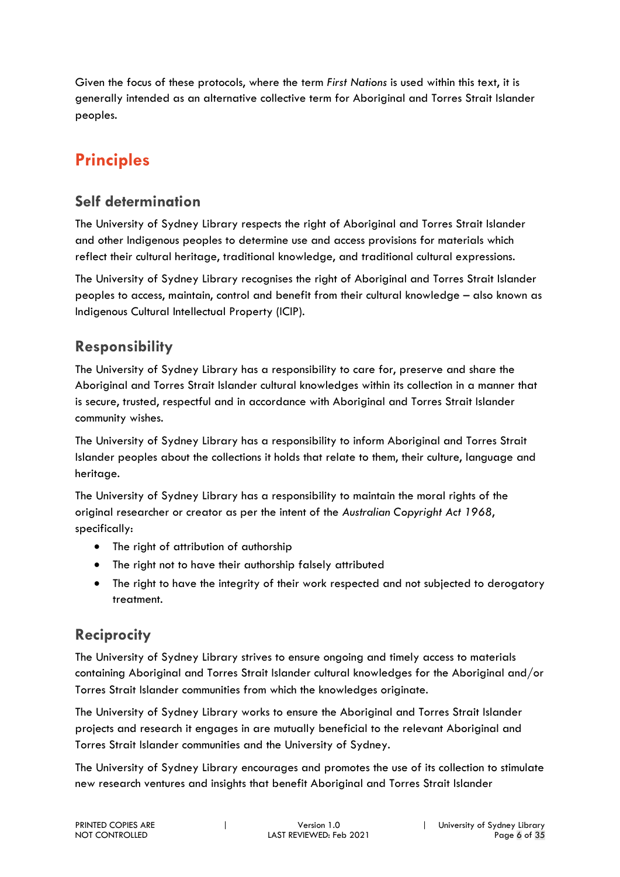Given the focus of these protocols, where the term *First Nations* is used within this text, it is generally intended as an alternative collective term for Aboriginal and Torres Strait Islander peoples.

## **Principles**

## **Self determination**

The University of Sydney Library respects the right of Aboriginal and Torres Strait Islander and other Indigenous peoples to determine use and access provisions for materials which reflect their cultural heritage, traditional knowledge, and traditional cultural expressions.

The University of Sydney Library recognises the right of Aboriginal and Torres Strait Islander peoples to access, maintain, control and benefit from their cultural knowledge – also known as Indigenous Cultural Intellectual Property (ICIP).

## **Responsibility**

The University of Sydney Library has a responsibility to care for, preserve and share the Aboriginal and Torres Strait Islander cultural knowledges within its collection in a manner that is secure, trusted, respectful and in accordance with Aboriginal and Torres Strait Islander community wishes.

The University of Sydney Library has a responsibility to inform Aboriginal and Torres Strait Islander peoples about the collections it holds that relate to them, their culture, language and heritage.

The University of Sydney Library has a responsibility to maintain the moral rights of the original researcher or creator as per the intent of the *Australian Copyright Act 1968*, specifically:

- The right of attribution of authorship
- The right not to have their authorship falsely attributed
- The right to have the integrity of their work respected and not subjected to derogatory treatment.

## **Reciprocity**

The University of Sydney Library strives to ensure ongoing and timely access to materials containing Aboriginal and Torres Strait Islander cultural knowledges for the Aboriginal and/or Torres Strait Islander communities from which the knowledges originate.

The University of Sydney Library works to ensure the Aboriginal and Torres Strait Islander projects and research it engages in are mutually beneficial to the relevant Aboriginal and Torres Strait Islander communities and the University of Sydney.

The University of Sydney Library encourages and promotes the use of its collection to stimulate new research ventures and insights that benefit Aboriginal and Torres Strait Islander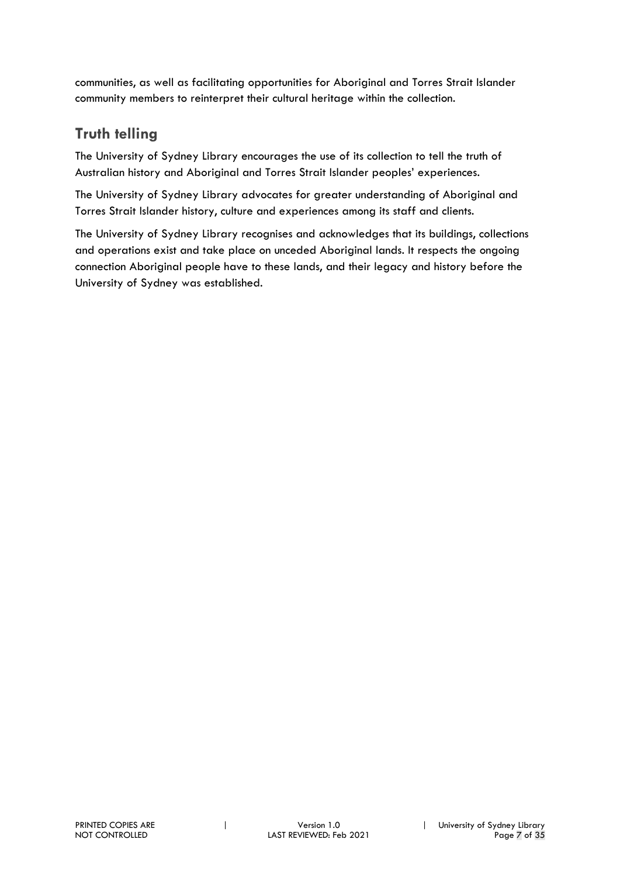communities, as well as facilitating opportunities for Aboriginal and Torres Strait Islander community members to reinterpret their cultural heritage within the collection.

## **Truth telling**

The University of Sydney Library encourages the use of its collection to tell the truth of Australian history and Aboriginal and Torres Strait Islander peoples' experiences.

The University of Sydney Library advocates for greater understanding of Aboriginal and Torres Strait Islander history, culture and experiences among its staff and clients.

The University of Sydney Library recognises and acknowledges that its buildings, collections and operations exist and take place on unceded Aboriginal lands. It respects the ongoing connection Aboriginal people have to these lands, and their legacy and history before the University of Sydney was established.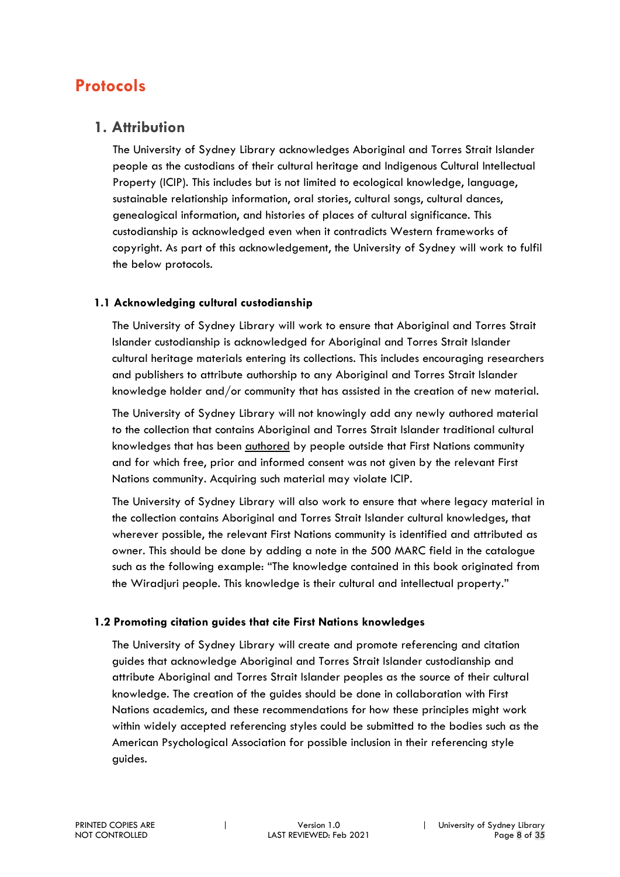## **Protocols**

#### **1. Attribution**

The University of Sydney Library acknowledges Aboriginal and Torres Strait Islander people as the custodians of their cultural heritage and Indigenous Cultural Intellectual Property (ICIP). This includes but is not limited to ecological knowledge, language, sustainable relationship information, oral stories, cultural songs, cultural dances, genealogical information, and histories of places of cultural significance. This custodianship is acknowledged even when it contradicts Western frameworks of copyright. As part of this acknowledgement, the University of Sydney will work to fulfil the below protocols.

#### **1.1 Acknowledging cultural custodianship**

The University of Sydney Library will work to ensure that Aboriginal and Torres Strait Islander custodianship is acknowledged for Aboriginal and Torres Strait Islander cultural heritage materials entering its collections. This includes encouraging researchers and publishers to attribute authorship to any Aboriginal and Torres Strait Islander knowledge holder and/or community that has assisted in the creation of new material.

The University of Sydney Library will not knowingly add any newly authored material to the collection that contains Aboriginal and Torres Strait Islander traditional cultural knowledges that has been authored by people outside that First Nations community and for which free, prior and informed consent was not given by the relevant First Nations community. Acquiring such material may violate ICIP.

The University of Sydney Library will also work to ensure that where legacy material in the collection contains Aboriginal and Torres Strait Islander cultural knowledges, that wherever possible, the relevant First Nations community is identified and attributed as owner. This should be done by adding a note in the 500 MARC field in the catalogue such as the following example: "The knowledge contained in this book originated from the Wiradjuri people. This knowledge is their cultural and intellectual property."

#### **1.2 Promoting citation guides that cite First Nations knowledges**

The University of Sydney Library will create and promote referencing and citation guides that acknowledge Aboriginal and Torres Strait Islander custodianship and attribute Aboriginal and Torres Strait Islander peoples as the source of their cultural knowledge. The creation of the guides should be done in collaboration with First Nations academics, and these recommendations for how these principles might work within widely accepted referencing styles could be submitted to the bodies such as the American Psychological Association for possible inclusion in their referencing style guides.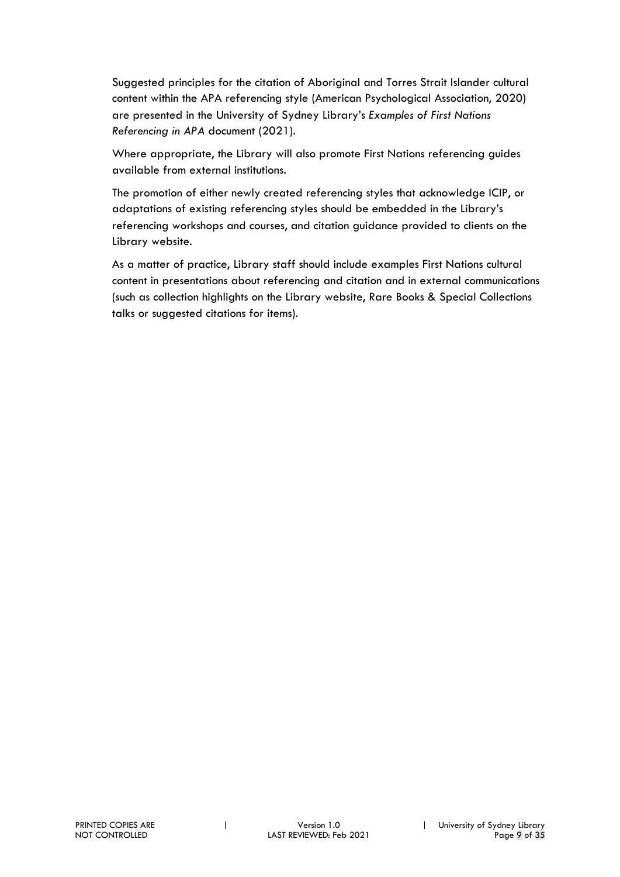Suggested principles for the citation of Aboriginal and Torres Strait Islander cultural content within the APA referencing style (American Psychological Association, 2020) are presented in the University of Sydney Library's *Examples of First Nations Referencing in APA* document (2021).

Where appropriate, the Library will also promote First Nations referencing guides available from external institutions.

The promotion of either newly created referencing styles that acknowledge ICIP, or adaptations of existing referencing styles should be embedded in the Library's referencing workshops and courses, and citation guidance provided to clients on the Library website.

As a matter of practice, Library staff should include examples First Nations cultural content in presentations about referencing and citation and in external communications (such as collection highlights on the Library website, Rare Books & Special Collections talks or suggested citations for items).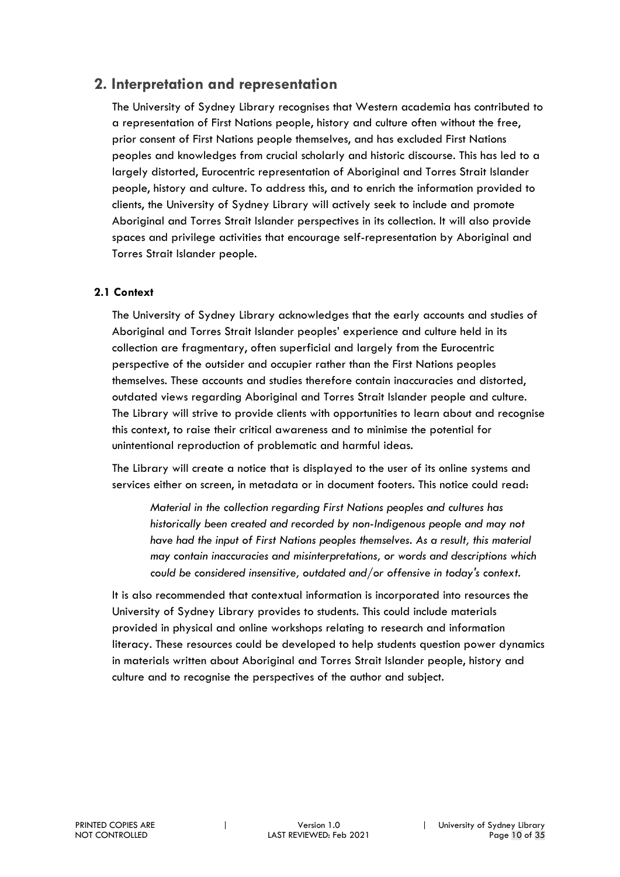#### **2. Interpretation and representation**

The University of Sydney Library recognises that Western academia has contributed to a representation of First Nations people, history and culture often without the free, prior consent of First Nations people themselves, and has excluded First Nations peoples and knowledges from crucial scholarly and historic discourse. This has led to a largely distorted, Eurocentric representation of Aboriginal and Torres Strait Islander people, history and culture. To address this, and to enrich the information provided to clients, the University of Sydney Library will actively seek to include and promote Aboriginal and Torres Strait Islander perspectives in its collection. It will also provide spaces and privilege activities that encourage self-representation by Aboriginal and Torres Strait Islander people.

#### **2.1 Context**

The University of Sydney Library acknowledges that the early accounts and studies of Aboriginal and Torres Strait Islander peoples' experience and culture held in its collection are fragmentary, often superficial and largely from the Eurocentric perspective of the outsider and occupier rather than the First Nations peoples themselves. These accounts and studies therefore contain inaccuracies and distorted, outdated views regarding Aboriginal and Torres Strait Islander people and culture. The Library will strive to provide clients with opportunities to learn about and recognise this context, to raise their critical awareness and to minimise the potential for unintentional reproduction of problematic and harmful ideas.

The Library will create a notice that is displayed to the user of its online systems and services either on screen, in metadata or in document footers. This notice could read:

*Material in the collection regarding First Nations peoples and cultures has historically been created and recorded by non-Indigenous people and may not*  have had the input of First Nations peoples themselves. As a result, this material *may contain inaccuracies and misinterpretations, or words and descriptions which could be considered insensitive, outdated and/or offensive in today's context.*

It is also recommended that contextual information is incorporated into resources the University of Sydney Library provides to students. This could include materials provided in physical and online workshops relating to research and information literacy. These resources could be developed to help students question power dynamics in materials written about Aboriginal and Torres Strait Islander people, history and culture and to recognise the perspectives of the author and subject.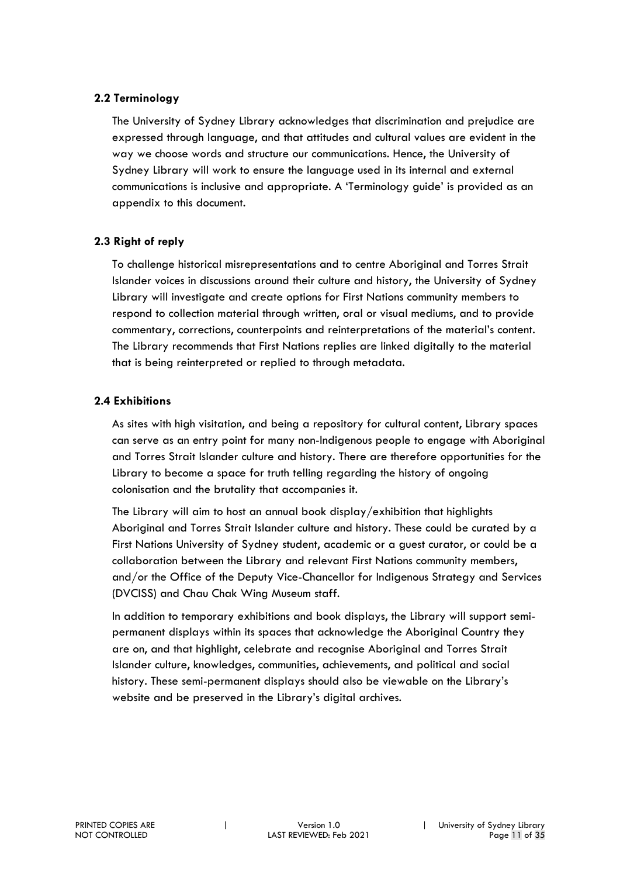#### **2.2 Terminology**

The University of Sydney Library acknowledges that discrimination and prejudice are expressed through language, and that attitudes and cultural values are evident in the way we choose words and structure our communications. Hence, the University of Sydney Library will work to ensure the language used in its internal and external communications is inclusive and appropriate. A 'Terminology guide' is provided as an appendix to this document.

#### **2.3 Right of reply**

To challenge historical misrepresentations and to centre Aboriginal and Torres Strait Islander voices in discussions around their culture and history, the University of Sydney Library will investigate and create options for First Nations community members to respond to collection material through written, oral or visual mediums, and to provide commentary, corrections, counterpoints and reinterpretations of the material's content. The Library recommends that First Nations replies are linked digitally to the material that is being reinterpreted or replied to through metadata.

#### **2.4 Exhibitions**

As sites with high visitation, and being a repository for cultural content, Library spaces can serve as an entry point for many non-Indigenous people to engage with Aboriginal and Torres Strait Islander culture and history. There are therefore opportunities for the Library to become a space for truth telling regarding the history of ongoing colonisation and the brutality that accompanies it.

The Library will aim to host an annual book display/exhibition that highlights Aboriginal and Torres Strait Islander culture and history. These could be curated by a First Nations University of Sydney student, academic or a guest curator, or could be a collaboration between the Library and relevant First Nations community members, and/or the Office of the Deputy Vice-Chancellor for Indigenous Strategy and Services (DVCISS) and Chau Chak Wing Museum staff.

In addition to temporary exhibitions and book displays, the Library will support semipermanent displays within its spaces that acknowledge the Aboriginal Country they are on, and that highlight, celebrate and recognise Aboriginal and Torres Strait Islander culture, knowledges, communities, achievements, and political and social history. These semi-permanent displays should also be viewable on the Library's website and be preserved in the Library's digital archives.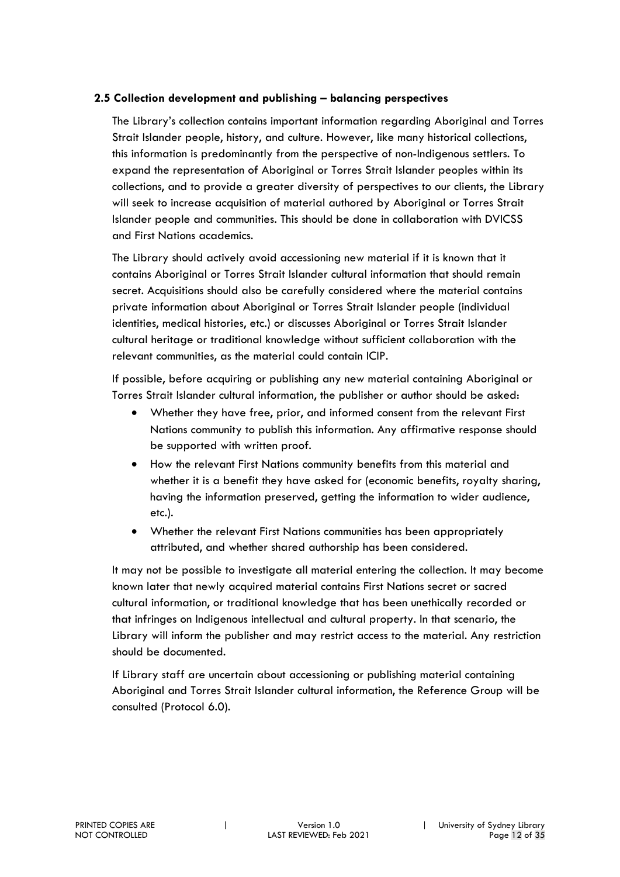#### **2.5 Collection development and publishing – balancing perspectives**

The Library's collection contains important information regarding Aboriginal and Torres Strait Islander people, history, and culture. However, like many historical collections, this information is predominantly from the perspective of non-Indigenous settlers. To expand the representation of Aboriginal or Torres Strait Islander peoples within its collections, and to provide a greater diversity of perspectives to our clients, the Library will seek to increase acquisition of material authored by Aboriginal or Torres Strait Islander people and communities. This should be done in collaboration with DVICSS and First Nations academics.

The Library should actively avoid accessioning new material if it is known that it contains Aboriginal or Torres Strait Islander cultural information that should remain secret. Acquisitions should also be carefully considered where the material contains private information about Aboriginal or Torres Strait Islander people (individual identities, medical histories, etc.) or discusses Aboriginal or Torres Strait Islander cultural heritage or traditional knowledge without sufficient collaboration with the relevant communities, as the material could contain ICIP.

If possible, before acquiring or publishing any new material containing Aboriginal or Torres Strait Islander cultural information, the publisher or author should be asked:

- Whether they have free, prior, and informed consent from the relevant First Nations community to publish this information. Any affirmative response should be supported with written proof.
- How the relevant First Nations community benefits from this material and whether it is a benefit they have asked for (economic benefits, royalty sharing, having the information preserved, getting the information to wider audience, etc.).
- Whether the relevant First Nations communities has been appropriately attributed, and whether shared authorship has been considered.

It may not be possible to investigate all material entering the collection. It may become known later that newly acquired material contains First Nations secret or sacred cultural information, or traditional knowledge that has been unethically recorded or that infringes on Indigenous intellectual and cultural property. In that scenario, the Library will inform the publisher and may restrict access to the material. Any restriction should be documented.

If Library staff are uncertain about accessioning or publishing material containing Aboriginal and Torres Strait Islander cultural information, the Reference Group will be consulted (Protocol 6.0).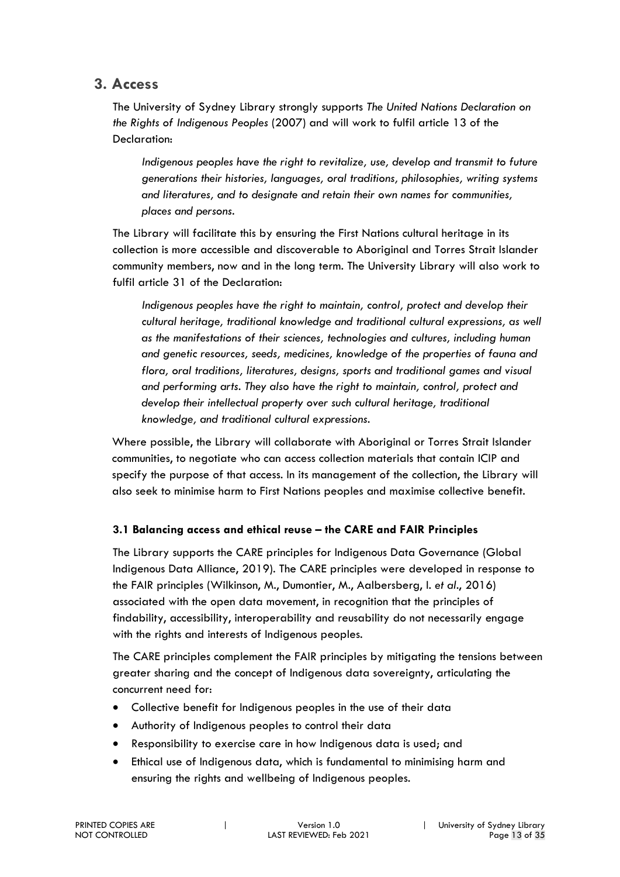#### **3. Access**

The University of Sydney Library strongly supports *The United Nations Declaration on the Rights of Indigenous Peoples* (2007) and will work to fulfil article 13 of the Declaration:

*Indigenous peoples have the right to revitalize, use, develop and transmit to future generations their histories, languages, oral traditions, philosophies, writing systems and literatures, and to designate and retain their own names for communities, places and persons.*

The Library will facilitate this by ensuring the First Nations cultural heritage in its collection is more accessible and discoverable to Aboriginal and Torres Strait Islander community members, now and in the long term. The University Library will also work to fulfil article 31 of the Declaration:

Indigenous peoples have the right to maintain, control, protect and develop their *cultural heritage, traditional knowledge and traditional cultural expressions, as well as the manifestations of their sciences, technologies and cultures, including human and genetic resources, seeds, medicines, knowledge of the properties of fauna and flora, oral traditions, literatures, designs, sports and traditional games and visual and performing arts. They also have the right to maintain, control, protect and develop their intellectual property over such cultural heritage, traditional knowledge, and traditional cultural expressions.*

Where possible, the Library will collaborate with Aboriginal or Torres Strait Islander communities, to negotiate who can access collection materials that contain ICIP and specify the purpose of that access. In its management of the collection, the Library will also seek to minimise harm to First Nations peoples and maximise collective benefit.

#### **3.1 Balancing access and ethical reuse – the CARE and FAIR Principles**

The Library supports the CARE principles for Indigenous Data Governance (Global Indigenous Data Alliance, 2019). The CARE principles were developed in response to the FAIR principles (Wilkinson, M., Dumontier, M., Aalbersberg, I. *et al*., 2016) associated with the open data movement, in recognition that the principles of findability, accessibility, interoperability and reusability do not necessarily engage with the rights and interests of Indigenous peoples.

The CARE principles complement the FAIR principles by mitigating the tensions between greater sharing and the concept of Indigenous data sovereignty, articulating the concurrent need for:

- Collective benefit for Indigenous peoples in the use of their data
- Authority of Indigenous peoples to control their data
- Responsibility to exercise care in how Indigenous data is used; and
- Ethical use of Indigenous data, which is fundamental to minimising harm and ensuring the rights and wellbeing of Indigenous peoples.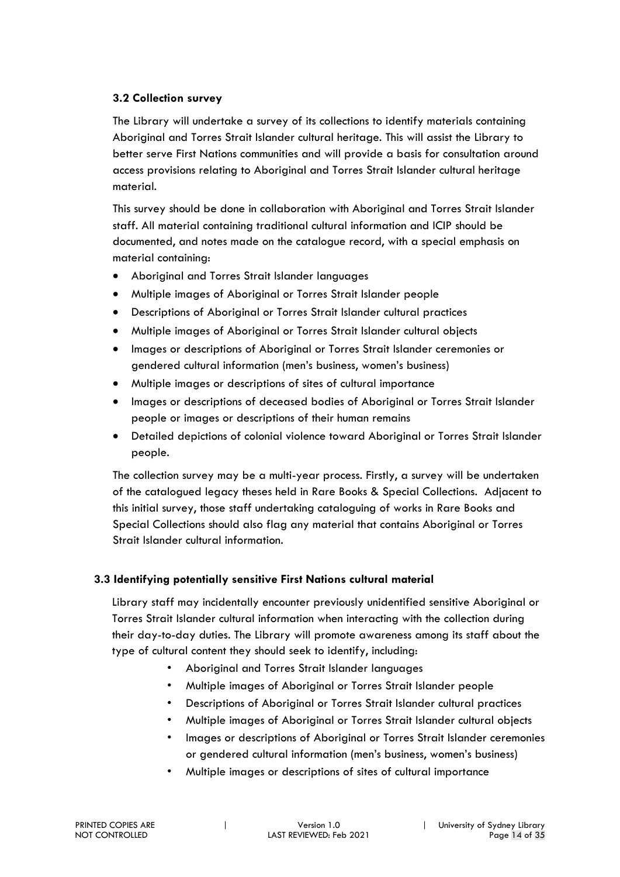#### **3.2 Collection survey**

The Library will undertake a survey of its collections to identify materials containing Aboriginal and Torres Strait Islander cultural heritage. This will assist the Library to better serve First Nations communities and will provide a basis for consultation around access provisions relating to Aboriginal and Torres Strait Islander cultural heritage material.

This survey should be done in collaboration with Aboriginal and Torres Strait Islander staff. All material containing traditional cultural information and ICIP should be documented, and notes made on the catalogue record, with a special emphasis on material containing:

- Aboriginal and Torres Strait Islander languages
- Multiple images of Aboriginal or Torres Strait Islander people
- Descriptions of Aboriginal or Torres Strait Islander cultural practices
- Multiple images of Aboriginal or Torres Strait Islander cultural objects
- Images or descriptions of Aboriginal or Torres Strait Islander ceremonies or gendered cultural information (men's business, women's business)
- Multiple images or descriptions of sites of cultural importance
- Images or descriptions of deceased bodies of Aboriginal or Torres Strait Islander people or images or descriptions of their human remains
- Detailed depictions of colonial violence toward Aboriginal or Torres Strait Islander people.

The collection survey may be a multi-year process. Firstly, a survey will be undertaken of the catalogued legacy theses held in Rare Books & Special Collections. Adjacent to this initial survey, those staff undertaking cataloguing of works in Rare Books and Special Collections should also flag any material that contains Aboriginal or Torres Strait Islander cultural information.

#### **3.3 Identifying potentially sensitive First Nations cultural material**

Library staff may incidentally encounter previously unidentified sensitive Aboriginal or Torres Strait Islander cultural information when interacting with the collection during their day-to-day duties. The Library will promote awareness among its staff about the type of cultural content they should seek to identify, including:

- Aboriginal and Torres Strait Islander languages
- Multiple images of Aboriginal or Torres Strait Islander people
- Descriptions of Aboriginal or Torres Strait Islander cultural practices
- Multiple images of Aboriginal or Torres Strait Islander cultural objects
- Images or descriptions of Aboriginal or Torres Strait Islander ceremonies or gendered cultural information (men's business, women's business)
- Multiple images or descriptions of sites of cultural importance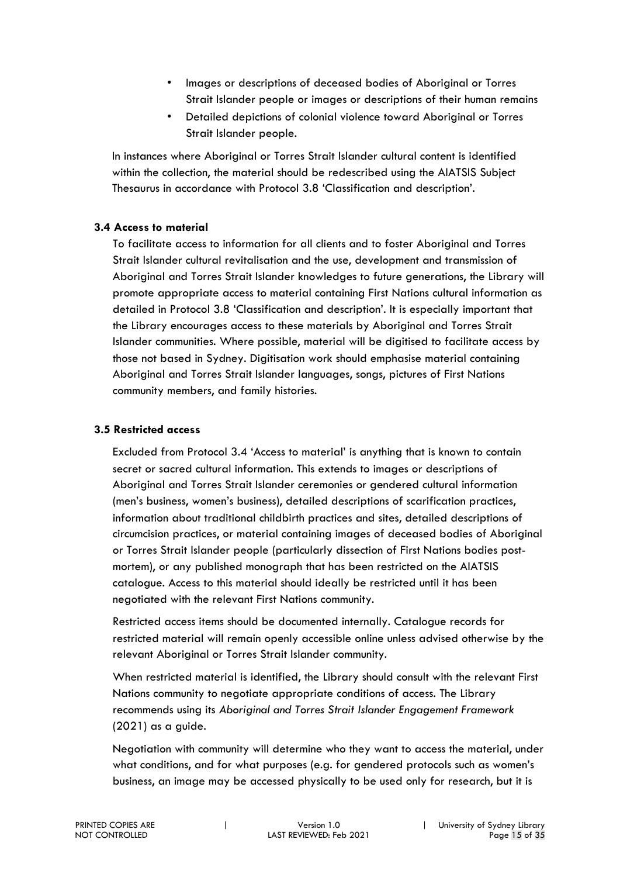- Images or descriptions of deceased bodies of Aboriginal or Torres Strait Islander people or images or descriptions of their human remains
- Detailed depictions of colonial violence toward Aboriginal or Torres Strait Islander people.

In instances where Aboriginal or Torres Strait Islander cultural content is identified within the collection, the material should be redescribed using the AIATSIS Subject Thesaurus in accordance with Protocol 3.8 'Classification and description'.

#### **3.4 Access to material**

To facilitate access to information for all clients and to foster Aboriginal and Torres Strait Islander cultural revitalisation and the use, development and transmission of Aboriginal and Torres Strait Islander knowledges to future generations, the Library will promote appropriate access to material containing First Nations cultural information as detailed in Protocol 3.8 'Classification and description'. It is especially important that the Library encourages access to these materials by Aboriginal and Torres Strait Islander communities. Where possible, material will be digitised to facilitate access by those not based in Sydney. Digitisation work should emphasise material containing Aboriginal and Torres Strait Islander languages, songs, pictures of First Nations community members, and family histories.

#### **3.5 Restricted access**

Excluded from Protocol 3.4 'Access to material' is anything that is known to contain secret or sacred cultural information. This extends to images or descriptions of Aboriginal and Torres Strait Islander ceremonies or gendered cultural information (men's business, women's business), detailed descriptions of scarification practices, information about traditional childbirth practices and sites, detailed descriptions of circumcision practices, or material containing images of deceased bodies of Aboriginal or Torres Strait Islander people (particularly dissection of First Nations bodies postmortem), or any published monograph that has been restricted on the AIATSIS catalogue. Access to this material should ideally be restricted until it has been negotiated with the relevant First Nations community.

Restricted access items should be documented internally. Catalogue records for restricted material will remain openly accessible online unless advised otherwise by the relevant Aboriginal or Torres Strait Islander community.

When restricted material is identified, the Library should consult with the relevant First Nations community to negotiate appropriate conditions of access. The Library recommends using its *Aboriginal and Torres Strait Islander Engagement Framework* (2021) as a guide.

Negotiation with community will determine who they want to access the material, under what conditions, and for what purposes (e.g. for gendered protocols such as women's business, an image may be accessed physically to be used only for research, but it is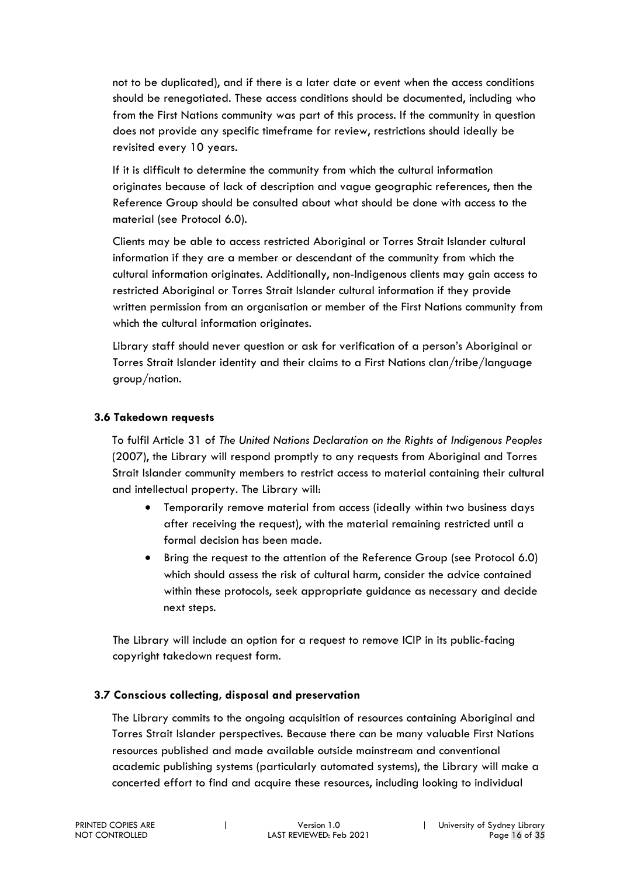not to be duplicated), and if there is a later date or event when the access conditions should be renegotiated. These access conditions should be documented, including who from the First Nations community was part of this process. If the community in question does not provide any specific timeframe for review, restrictions should ideally be revisited every 10 years.

If it is difficult to determine the community from which the cultural information originates because of lack of description and vague geographic references, then the Reference Group should be consulted about what should be done with access to the material (see Protocol 6.0).

Clients may be able to access restricted Aboriginal or Torres Strait Islander cultural information if they are a member or descendant of the community from which the cultural information originates. Additionally, non-Indigenous clients may gain access to restricted Aboriginal or Torres Strait Islander cultural information if they provide written permission from an organisation or member of the First Nations community from which the cultural information originates.

Library staff should never question or ask for verification of a person's Aboriginal or Torres Strait Islander identity and their claims to a First Nations clan/tribe/language group/nation.

#### **3.6 Takedown requests**

To fulfil Article 31 of *The United Nations Declaration on the Rights of Indigenous Peoples* (2007), the Library will respond promptly to any requests from Aboriginal and Torres Strait Islander community members to restrict access to material containing their cultural and intellectual property. The Library will:

- Temporarily remove material from access (ideally within two business days after receiving the request), with the material remaining restricted until a formal decision has been made.
- Bring the request to the attention of the Reference Group (see Protocol 6.0) which should assess the risk of cultural harm, consider the advice contained within these protocols, seek appropriate guidance as necessary and decide next steps.

The Library will include an option for a request to remove ICIP in its public-facing copyright takedown request form.

#### **3.7 Conscious collecting, disposal and preservation**

The Library commits to the ongoing acquisition of resources containing Aboriginal and Torres Strait Islander perspectives. Because there can be many valuable First Nations resources published and made available outside mainstream and conventional academic publishing systems (particularly automated systems), the Library will make a concerted effort to find and acquire these resources, including looking to individual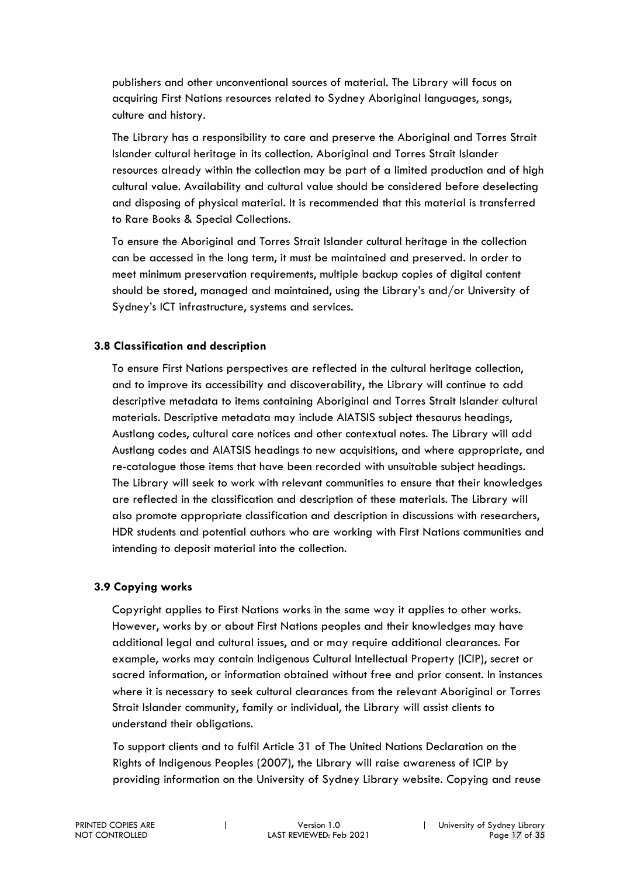publishers and other unconventional sources of material. The Library will focus on acquiring First Nations resources related to Sydney Aboriginal languages, songs, culture and history.

The Library has a responsibility to care and preserve the Aboriginal and Torres Strait Islander cultural heritage in its collection. Aboriginal and Torres Strait Islander resources already within the collection may be part of a limited production and of high cultural value. Availability and cultural value should be considered before deselecting and disposing of physical material. It is recommended that this material is transferred to Rare Books & Special Collections.

To ensure the Aboriginal and Torres Strait Islander cultural heritage in the collection can be accessed in the long term, it must be maintained and preserved. In order to meet minimum preservation requirements, multiple backup copies of digital content should be stored, managed and maintained, using the Library's and/or University of Sydney's ICT infrastructure, systems and services.

#### **3.8 Classification and description**

To ensure First Nations perspectives are reflected in the cultural heritage collection, and to improve its accessibility and discoverability, the Library will continue to add descriptive metadata to items containing Aboriginal and Torres Strait Islander cultural materials. Descriptive metadata may include AIATSIS subject thesaurus headings, Austlang codes, cultural care notices and other contextual notes. The Library will add Austlang codes and AIATSIS headings to new acquisitions, and where appropriate, and re-catalogue those items that have been recorded with unsuitable subject headings. The Library will seek to work with relevant communities to ensure that their knowledges are reflected in the classification and description of these materials. The Library will also promote appropriate classification and description in discussions with researchers, HDR students and potential authors who are working with First Nations communities and intending to deposit material into the collection.

#### **3.9 Copying works**

Copyright applies to First Nations works in the same way it applies to other works. However, works by or about First Nations peoples and their knowledges may have additional legal and cultural issues, and or may require additional clearances. For example, works may contain Indigenous Cultural Intellectual Property (ICIP), secret or sacred information, or information obtained without free and prior consent. In instances where it is necessary to seek cultural clearances from the relevant Aboriginal or Torres Strait Islander community, family or individual, the Library will assist clients to understand their obligations.

To support clients and to fulfil Article 31 of The United Nations Declaration on the Rights of Indigenous Peoples (2007), the Library will raise awareness of ICIP by providing information on the University of Sydney Library website. Copying and reuse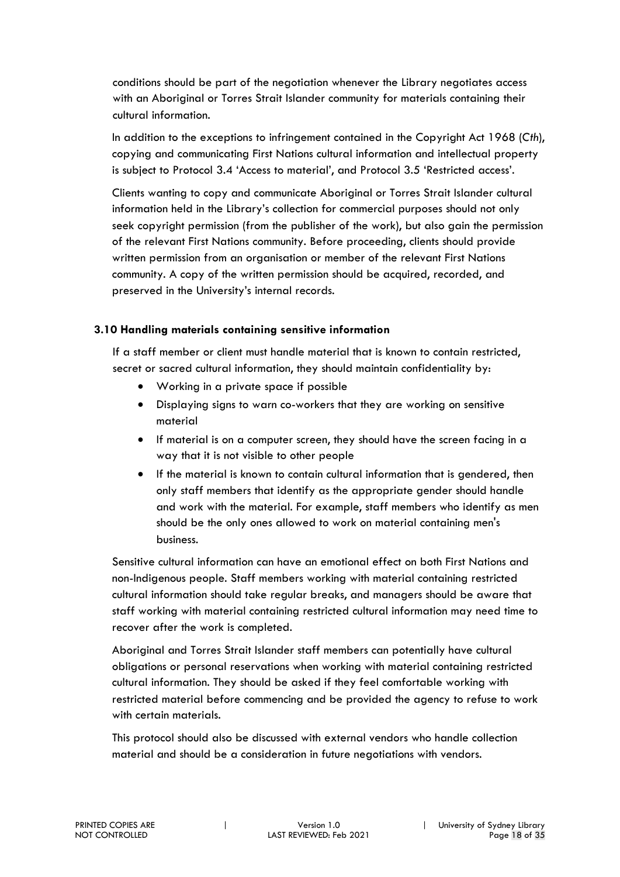conditions should be part of the negotiation whenever the Library negotiates access with an Aboriginal or Torres Strait Islander community for materials containing their cultural information.

In addition to the exceptions to infringement contained in the Copyright Act 1968 (*Cth*), copying and communicating First Nations cultural information and intellectual property is subject to Protocol 3.4 'Access to material', and Protocol 3.5 'Restricted access'.

Clients wanting to copy and communicate Aboriginal or Torres Strait Islander cultural information held in the Library's collection for commercial purposes should not only seek copyright permission (from the publisher of the work), but also gain the permission of the relevant First Nations community. Before proceeding, clients should provide written permission from an organisation or member of the relevant First Nations community. A copy of the written permission should be acquired, recorded, and preserved in the University's internal records.

#### **3.10 Handling materials containing sensitive information**

If a staff member or client must handle material that is known to contain restricted, secret or sacred cultural information, they should maintain confidentiality by:

- Working in a private space if possible
- Displaying signs to warn co-workers that they are working on sensitive material
- If material is on a computer screen, they should have the screen facing in a way that it is not visible to other people
- If the material is known to contain cultural information that is gendered, then only staff members that identify as the appropriate gender should handle and work with the material. For example, staff members who identify as men should be the only ones allowed to work on material containing men's business.

Sensitive cultural information can have an emotional effect on both First Nations and non-Indigenous people. Staff members working with material containing restricted cultural information should take regular breaks, and managers should be aware that staff working with material containing restricted cultural information may need time to recover after the work is completed.

Aboriginal and Torres Strait Islander staff members can potentially have cultural obligations or personal reservations when working with material containing restricted cultural information. They should be asked if they feel comfortable working with restricted material before commencing and be provided the agency to refuse to work with certain materials.

This protocol should also be discussed with external vendors who handle collection material and should be a consideration in future negotiations with vendors.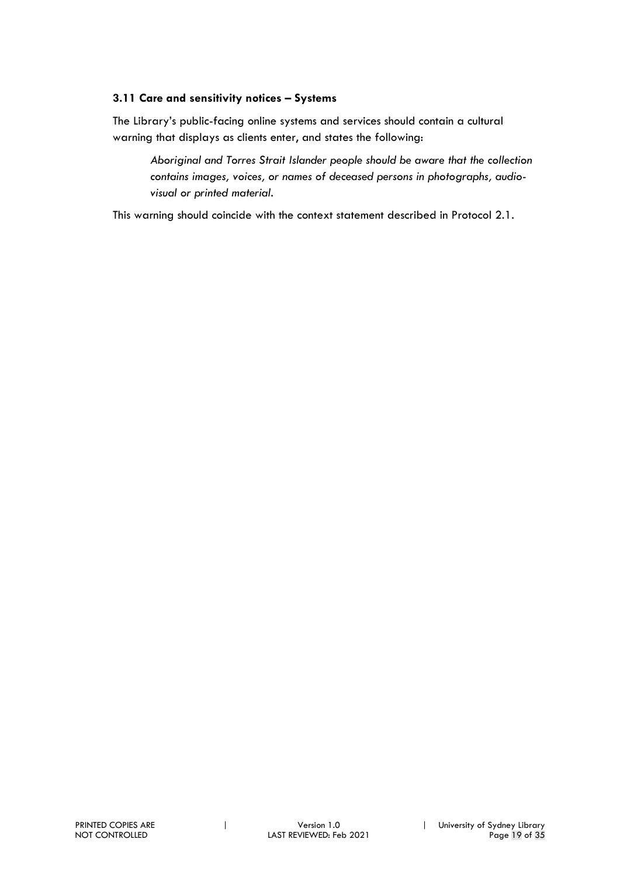#### **3.11 Care and sensitivity notices – Systems**

The Library's public-facing online systems and services should contain a cultural warning that displays as clients enter, and states the following:

*Aboriginal and Torres Strait Islander people should be aware that the collection contains images, voices, or names of deceased persons in photographs, audiovisual or printed material.*

This warning should coincide with the context statement described in Protocol 2.1.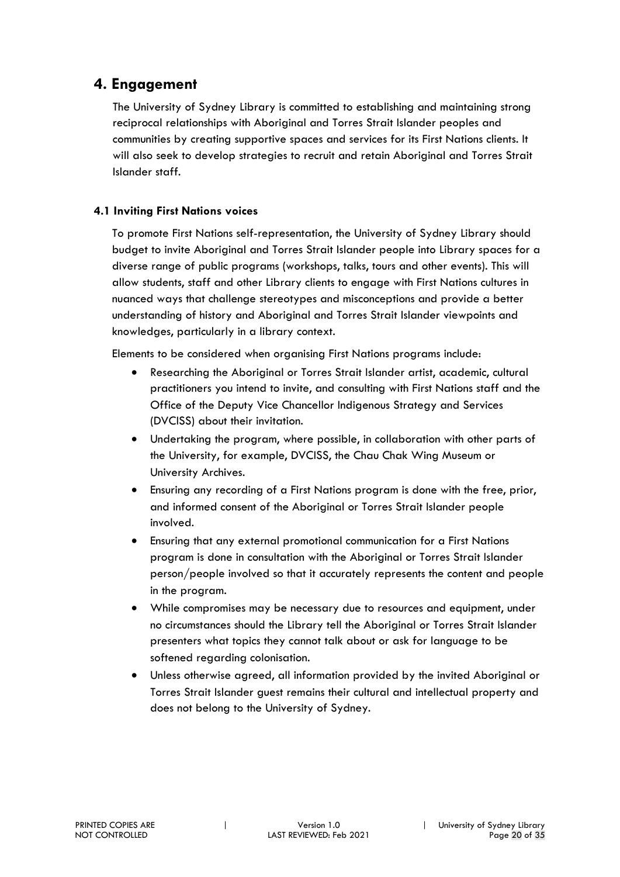#### **4. Engagement**

The University of Sydney Library is committed to establishing and maintaining strong reciprocal relationships with Aboriginal and Torres Strait Islander peoples and communities by creating supportive spaces and services for its First Nations clients. It will also seek to develop strategies to recruit and retain Aboriginal and Torres Strait Islander staff.

#### **4.1 Inviting First Nations voices**

To promote First Nations self-representation, the University of Sydney Library should budget to invite Aboriginal and Torres Strait Islander people into Library spaces for a diverse range of public programs (workshops, talks, tours and other events). This will allow students, staff and other Library clients to engage with First Nations cultures in nuanced ways that challenge stereotypes and misconceptions and provide a better understanding of history and Aboriginal and Torres Strait Islander viewpoints and knowledges, particularly in a library context.

Elements to be considered when organising First Nations programs include:

- Researching the Aboriginal or Torres Strait Islander artist, academic, cultural practitioners you intend to invite, and consulting with First Nations staff and the Office of the Deputy Vice Chancellor Indigenous Strategy and Services (DVCISS) about their invitation.
- Undertaking the program, where possible, in collaboration with other parts of the University, for example, DVCISS, the Chau Chak Wing Museum or University Archives.
- Ensuring any recording of a First Nations program is done with the free, prior, and informed consent of the Aboriginal or Torres Strait Islander people involved.
- Ensuring that any external promotional communication for a First Nations program is done in consultation with the Aboriginal or Torres Strait Islander person/people involved so that it accurately represents the content and people in the program.
- While compromises may be necessary due to resources and equipment, under no circumstances should the Library tell the Aboriginal or Torres Strait Islander presenters what topics they cannot talk about or ask for language to be softened regarding colonisation.
- Unless otherwise agreed, all information provided by the invited Aboriginal or Torres Strait Islander guest remains their cultural and intellectual property and does not belong to the University of Sydney.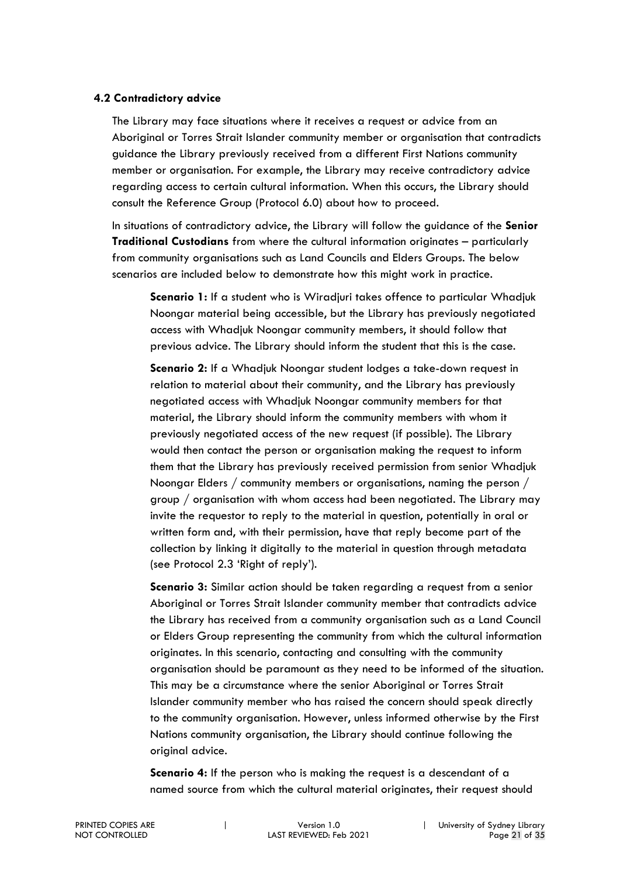#### **4.2 Contradictory advice**

The Library may face situations where it receives a request or advice from an Aboriginal or Torres Strait Islander community member or organisation that contradicts guidance the Library previously received from a different First Nations community member or organisation. For example, the Library may receive contradictory advice regarding access to certain cultural information. When this occurs, the Library should consult the Reference Group (Protocol 6.0) about how to proceed.

In situations of contradictory advice, the Library will follow the guidance of the **Senior Traditional Custodians** from where the cultural information originates – particularly from community organisations such as Land Councils and Elders Groups. The below scenarios are included below to demonstrate how this might work in practice.

**Scenario 1:** If a student who is Wiradjuri takes offence to particular Whadjuk Noongar material being accessible, but the Library has previously negotiated access with Whadjuk Noongar community members, it should follow that previous advice. The Library should inform the student that this is the case.

**Scenario 2:** If a Whadjuk Noongar student lodges a take-down request in relation to material about their community, and the Library has previously negotiated access with Whadjuk Noongar community members for that material, the Library should inform the community members with whom it previously negotiated access of the new request (if possible). The Library would then contact the person or organisation making the request to inform them that the Library has previously received permission from senior Whadjuk Noongar Elders / community members or organisations, naming the person / group / organisation with whom access had been negotiated. The Library may invite the requestor to reply to the material in question, potentially in oral or written form and, with their permission, have that reply become part of the collection by linking it digitally to the material in question through metadata (see Protocol 2.3 'Right of reply').

**Scenario 3:** Similar action should be taken regarding a request from a senior Aboriginal or Torres Strait Islander community member that contradicts advice the Library has received from a community organisation such as a Land Council or Elders Group representing the community from which the cultural information originates. In this scenario, contacting and consulting with the community organisation should be paramount as they need to be informed of the situation. This may be a circumstance where the senior Aboriginal or Torres Strait Islander community member who has raised the concern should speak directly to the community organisation. However, unless informed otherwise by the First Nations community organisation, the Library should continue following the original advice.

**Scenario 4:** If the person who is making the request is a descendant of a named source from which the cultural material originates, their request should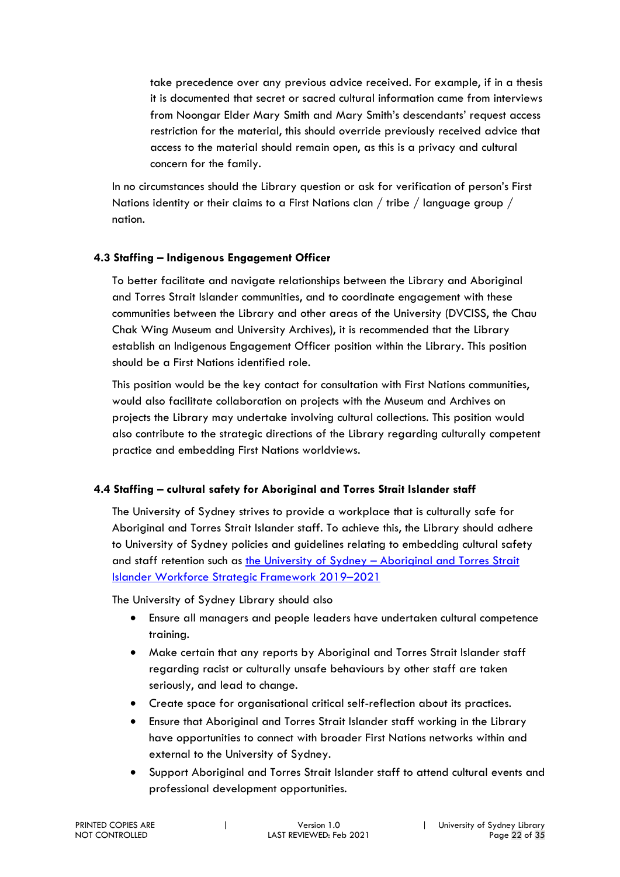take precedence over any previous advice received. For example, if in a thesis it is documented that secret or sacred cultural information came from interviews from Noongar Elder Mary Smith and Mary Smith's descendants' request access restriction for the material, this should override previously received advice that access to the material should remain open, as this is a privacy and cultural concern for the family.

In no circumstances should the Library question or ask for verification of person's First Nations identity or their claims to a First Nations clan / tribe / language group / nation.

#### **4.3 Staffing – Indigenous Engagement Officer**

To better facilitate and navigate relationships between the Library and Aboriginal and Torres Strait Islander communities, and to coordinate engagement with these communities between the Library and other areas of the University (DVCISS, the Chau Chak Wing Museum and University Archives), it is recommended that the Library establish an Indigenous Engagement Officer position within the Library. This position should be a First Nations identified role.

This position would be the key contact for consultation with First Nations communities, would also facilitate collaboration on projects with the Museum and Archives on projects the Library may undertake involving cultural collections. This position would also contribute to the strategic directions of the Library regarding culturally competent practice and embedding First Nations worldviews.

#### **4.4 Staffing – cultural safety for Aboriginal and Torres Strait Islander staff**

The University of Sydney strives to provide a workplace that is culturally safe for Aboriginal and Torres Strait Islander staff. To achieve this, the Library should adhere to University of Sydney policies and guidelines relating to embedding cultural safety and staff retention such as the University of Sydney – Aboriginal and Torres Strait Islander Workforce Strategic Framework 2019–2021

The University of Sydney Library should also

- Ensure all managers and people leaders have undertaken cultural competence training.
- Make certain that any reports by Aboriginal and Torres Strait Islander staff regarding racist or culturally unsafe behaviours by other staff are taken seriously, and lead to change.
- Create space for organisational critical self-reflection about its practices.
- Ensure that Aboriginal and Torres Strait Islander staff working in the Library have opportunities to connect with broader First Nations networks within and external to the University of Sydney.
- Support Aboriginal and Torres Strait Islander staff to attend cultural events and professional development opportunities.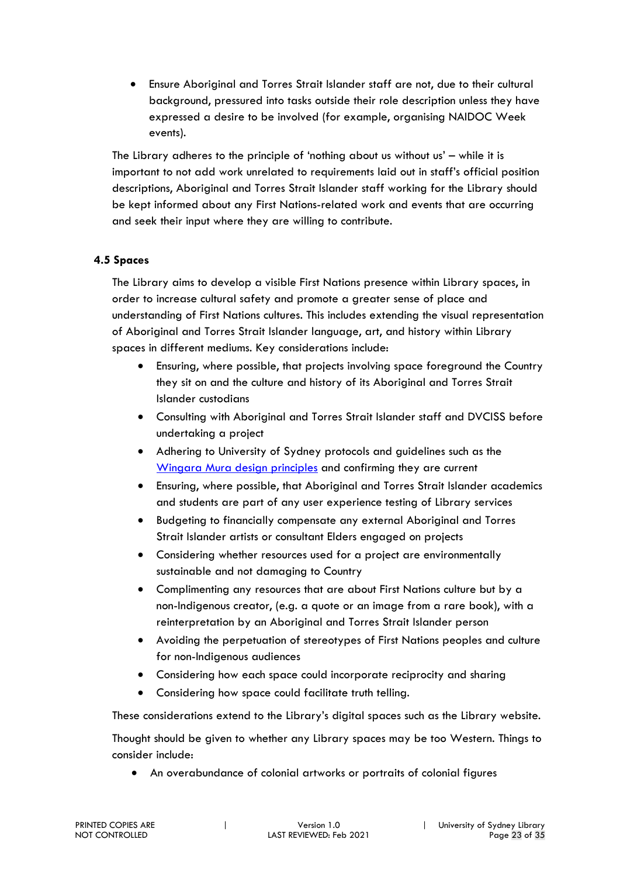• Ensure Aboriginal and Torres Strait Islander staff are not, due to their cultural background, pressured into tasks outside their role description unless they have expressed a desire to be involved (for example, organising NAIDOC Week events).

The Library adheres to the principle of 'nothing about us without us' – while it is important to not add work unrelated to requirements laid out in staff's official position descriptions, Aboriginal and Torres Strait Islander staff working for the Library should be kept informed about any First Nations-related work and events that are occurring and seek their input where they are willing to contribute.

#### **4.5 Spaces**

The Library aims to develop a visible First Nations presence within Library spaces, in order to increase cultural safety and promote a greater sense of place and understanding of First Nations cultures. This includes extending the visual representation of Aboriginal and Torres Strait Islander language, art, and history within Library spaces in different mediums. Key considerations include:

- Ensuring, where possible, that projects involving space foreground the Country they sit on and the culture and history of its Aboriginal and Torres Strait Islander custodians
- Consulting with Aboriginal and Torres Strait Islander staff and DVCISS before undertaking a project
- Adhering to University of Sydney protocols and guidelines such as the Wingara Mura design principles and confirming they are current
- Ensuring, where possible, that Aboriginal and Torres Strait Islander academics and students are part of any user experience testing of Library services
- Budgeting to financially compensate any external Aboriginal and Torres Strait Islander artists or consultant Elders engaged on projects
- Considering whether resources used for a project are environmentally sustainable and not damaging to Country
- Complimenting any resources that are about First Nations culture but by a non-Indigenous creator, (e.g. a quote or an image from a rare book), with a reinterpretation by an Aboriginal and Torres Strait Islander person
- Avoiding the perpetuation of stereotypes of First Nations peoples and culture for non-Indigenous audiences
- Considering how each space could incorporate reciprocity and sharing
- Considering how space could facilitate truth telling.

These considerations extend to the Library's digital spaces such as the Library website.

Thought should be given to whether any Library spaces may be too Western. Things to consider include:

• An overabundance of colonial artworks or portraits of colonial figures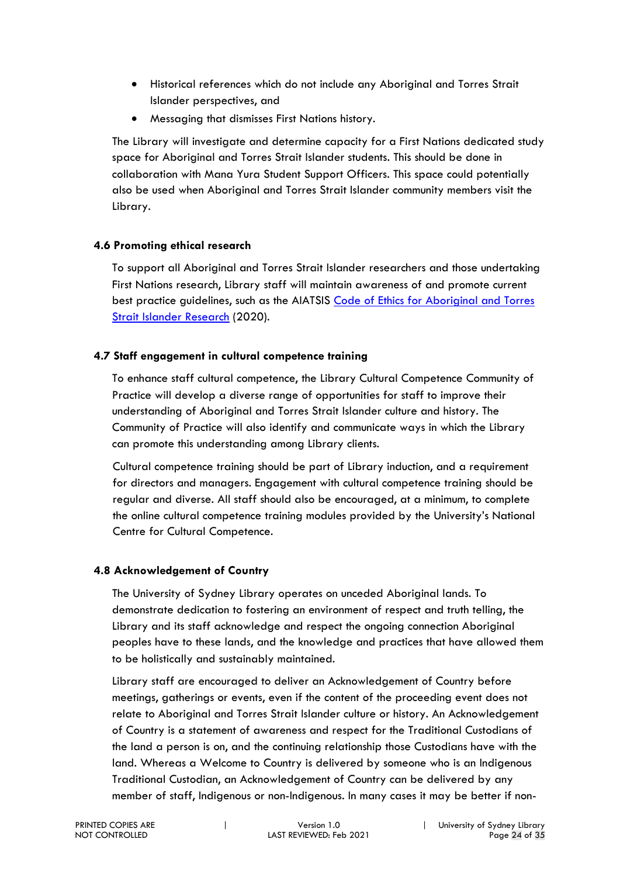- Historical references which do not include any Aboriginal and Torres Strait Islander perspectives, and
- Messaging that dismisses First Nations history.

The Library will investigate and determine capacity for a First Nations dedicated study space for Aboriginal and Torres Strait Islander students. This should be done in collaboration with Mana Yura Student Support Officers. This space could potentially also be used when Aboriginal and Torres Strait Islander community members visit the Library.

#### **4.6 Promoting ethical research**

To support all Aboriginal and Torres Strait Islander researchers and those undertaking First Nations research, Library staff will maintain awareness of and promote current best practice guidelines, such as the AIATSIS Code of Ethics for Aboriginal and Torres Strait Islander Research (2020).

#### **4.7 Staff engagement in cultural competence training**

To enhance staff cultural competence, the Library Cultural Competence Community of Practice will develop a diverse range of opportunities for staff to improve their understanding of Aboriginal and Torres Strait Islander culture and history. The Community of Practice will also identify and communicate ways in which the Library can promote this understanding among Library clients.

Cultural competence training should be part of Library induction, and a requirement for directors and managers. Engagement with cultural competence training should be regular and diverse. All staff should also be encouraged, at a minimum, to complete the online cultural competence training modules provided by the University's National Centre for Cultural Competence.

#### **4.8 Acknowledgement of Country**

The University of Sydney Library operates on unceded Aboriginal lands. To demonstrate dedication to fostering an environment of respect and truth telling, the Library and its staff acknowledge and respect the ongoing connection Aboriginal peoples have to these lands, and the knowledge and practices that have allowed them to be holistically and sustainably maintained.

Library staff are encouraged to deliver an Acknowledgement of Country before meetings, gatherings or events, even if the content of the proceeding event does not relate to Aboriginal and Torres Strait Islander culture or history. An Acknowledgement of Country is a statement of awareness and respect for the Traditional Custodians of the land a person is on, and the continuing relationship those Custodians have with the land. Whereas a Welcome to Country is delivered by someone who is an Indigenous Traditional Custodian, an Acknowledgement of Country can be delivered by any member of staff, Indigenous or non-Indigenous. In many cases it may be better if non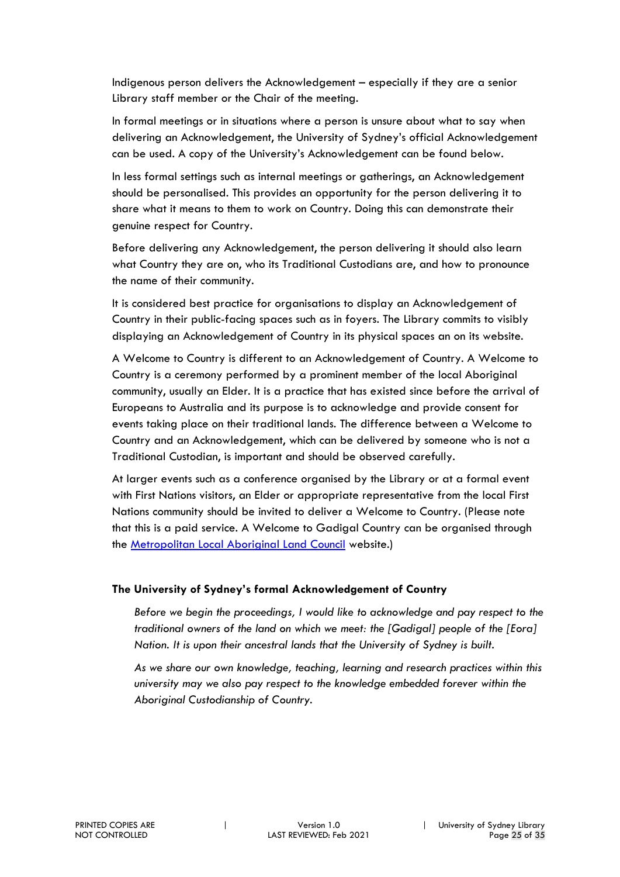Indigenous person delivers the Acknowledgement – especially if they are a senior Library staff member or the Chair of the meeting.

In formal meetings or in situations where a person is unsure about what to say when delivering an Acknowledgement, the University of Sydney's official Acknowledgement can be used. A copy of the University's Acknowledgement can be found below.

In less formal settings such as internal meetings or gatherings, an Acknowledgement should be personalised. This provides an opportunity for the person delivering it to share what it means to them to work on Country. Doing this can demonstrate their genuine respect for Country.

Before delivering any Acknowledgement, the person delivering it should also learn what Country they are on, who its Traditional Custodians are, and how to pronounce the name of their community.

It is considered best practice for organisations to display an Acknowledgement of Country in their public-facing spaces such as in foyers. The Library commits to visibly displaying an Acknowledgement of Country in its physical spaces an on its website.

A Welcome to Country is different to an Acknowledgement of Country. A Welcome to Country is a ceremony performed by a prominent member of the local Aboriginal community, usually an Elder. It is a practice that has existed since before the arrival of Europeans to Australia and its purpose is to acknowledge and provide consent for events taking place on their traditional lands. The difference between a Welcome to Country and an Acknowledgement, which can be delivered by someone who is not a Traditional Custodian, is important and should be observed carefully.

At larger events such as a conference organised by the Library or at a formal event with First Nations visitors, an Elder or appropriate representative from the local First Nations community should be invited to deliver a Welcome to Country. (Please note that this is a paid service. A Welcome to Gadigal Country can be organised through the Metropolitan Local Aboriginal Land Council website.)

#### **The University of Sydney's formal Acknowledgement of Country**

*Before we begin the proceedings, I would like to acknowledge and pay respect to the traditional owners of the land on which we meet: the [Gadigal] people of the [Eora] Nation. It is upon their ancestral lands that the University of Sydney is built.*

*As we share our own knowledge, teaching, learning and research practices within this university may we also pay respect to the knowledge embedded forever within the Aboriginal Custodianship of Country.*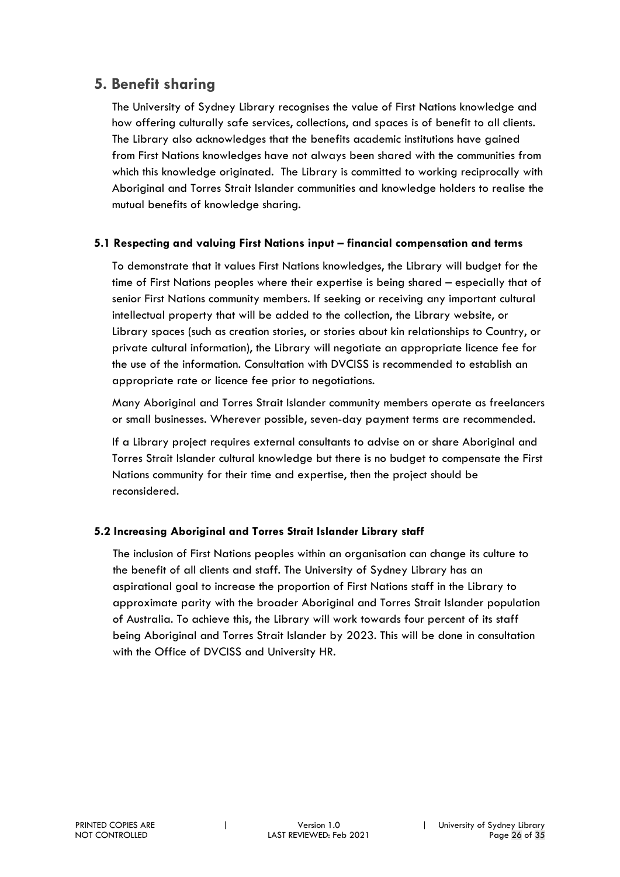#### **5. Benefit sharing**

The University of Sydney Library recognises the value of First Nations knowledge and how offering culturally safe services, collections, and spaces is of benefit to all clients. The Library also acknowledges that the benefits academic institutions have gained from First Nations knowledges have not always been shared with the communities from which this knowledge originated. The Library is committed to working reciprocally with Aboriginal and Torres Strait Islander communities and knowledge holders to realise the mutual benefits of knowledge sharing.

#### **5.1 Respecting and valuing First Nations input – financial compensation and terms**

To demonstrate that it values First Nations knowledges, the Library will budget for the time of First Nations peoples where their expertise is being shared – especially that of senior First Nations community members. If seeking or receiving any important cultural intellectual property that will be added to the collection, the Library website, or Library spaces (such as creation stories, or stories about kin relationships to Country, or private cultural information), the Library will negotiate an appropriate licence fee for the use of the information. Consultation with DVCISS is recommended to establish an appropriate rate or licence fee prior to negotiations.

Many Aboriginal and Torres Strait Islander community members operate as freelancers or small businesses. Wherever possible, seven-day payment terms are recommended.

If a Library project requires external consultants to advise on or share Aboriginal and Torres Strait Islander cultural knowledge but there is no budget to compensate the First Nations community for their time and expertise, then the project should be reconsidered.

#### **5.2 Increasing Aboriginal and Torres Strait Islander Library staff**

The inclusion of First Nations peoples within an organisation can change its culture to the benefit of all clients and staff. The University of Sydney Library has an aspirational goal to increase the proportion of First Nations staff in the Library to approximate parity with the broader Aboriginal and Torres Strait Islander population of Australia. To achieve this, the Library will work towards four percent of its staff being Aboriginal and Torres Strait Islander by 2023. This will be done in consultation with the Office of DVCISS and University HR.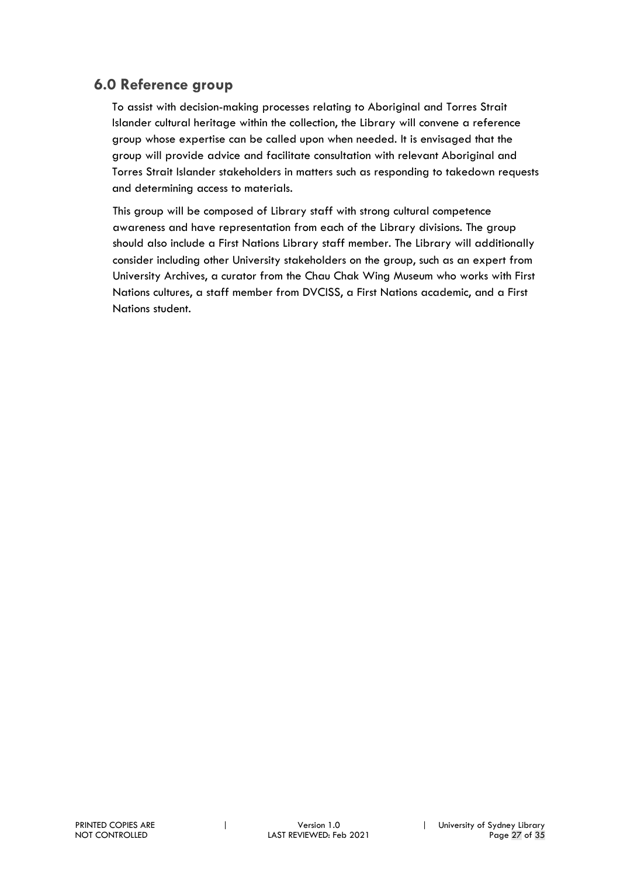### **6.0 Reference group**

To assist with decision-making processes relating to Aboriginal and Torres Strait Islander cultural heritage within the collection, the Library will convene a reference group whose expertise can be called upon when needed. It is envisaged that the group will provide advice and facilitate consultation with relevant Aboriginal and Torres Strait Islander stakeholders in matters such as responding to takedown requests and determining access to materials.

This group will be composed of Library staff with strong cultural competence awareness and have representation from each of the Library divisions. The group should also include a First Nations Library staff member. The Library will additionally consider including other University stakeholders on the group, such as an expert from University Archives, a curator from the Chau Chak Wing Museum who works with First Nations cultures, a staff member from DVCISS, a First Nations academic, and a First Nations student.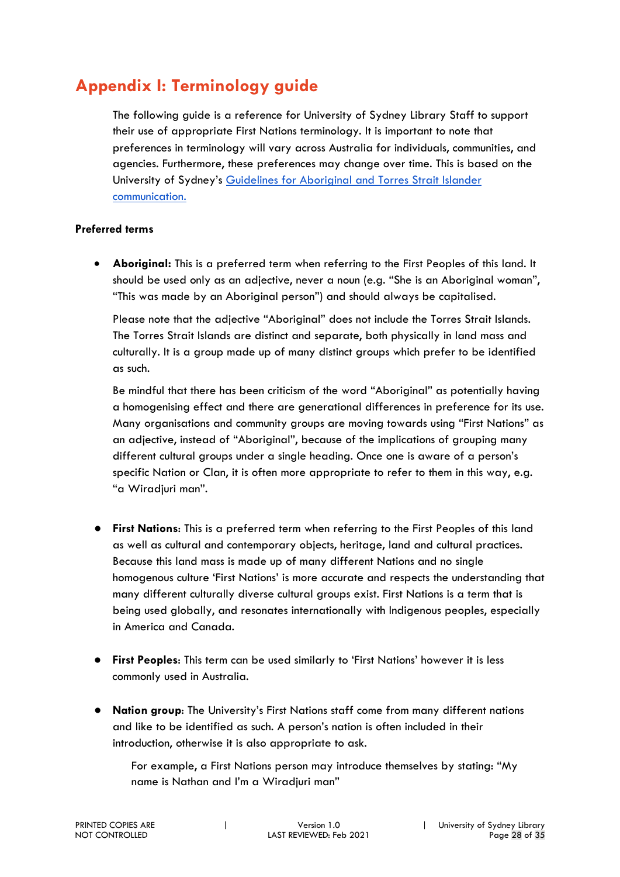## **Appendix I: Terminology guide**

The following guide is a reference for University of Sydney Library Staff to support their use of appropriate First Nations terminology. It is important to note that preferences in terminology will vary across Australia for individuals, communities, and agencies. Furthermore, these preferences may change over time. This is based on the University of Sydney's Guidelines for Aboriginal and Torres Strait Islander communication.

#### **Preferred terms**

• **Aboriginal:** This is a preferred term when referring to the First Peoples of this land. It should be used only as an adjective, never a noun (e.g. "She is an Aboriginal woman", "This was made by an Aboriginal person") and should always be capitalised.

Please note that the adjective "Aboriginal" does not include the Torres Strait Islands. The Torres Strait Islands are distinct and separate, both physically in land mass and culturally. It is a group made up of many distinct groups which prefer to be identified as such.

Be mindful that there has been criticism of the word "Aboriginal" as potentially having a homogenising effect and there are generational differences in preference for its use. Many organisations and community groups are moving towards using "First Nations" as an adjective, instead of "Aboriginal", because of the implications of grouping many different cultural groups under a single heading. Once one is aware of a person's specific Nation or Clan, it is often more appropriate to refer to them in this way, e.g. "a Wiradjuri man".

- **First Nations**: This is a preferred term when referring to the First Peoples of this land as well as cultural and contemporary objects, heritage, land and cultural practices. Because this land mass is made up of many different Nations and no single homogenous culture 'First Nations' is more accurate and respects the understanding that many different culturally diverse cultural groups exist. First Nations is a term that is being used globally, and resonates internationally with Indigenous peoples, especially in America and Canada.
- **First Peoples**: This term can be used similarly to 'First Nations' however it is less commonly used in Australia.
- **Nation group:** The University's First Nations staff come from many different nations and like to be identified as such. A person's nation is often included in their introduction, otherwise it is also appropriate to ask.

For example, a First Nations person may introduce themselves by stating: "My name is Nathan and I'm a Wiradjuri man"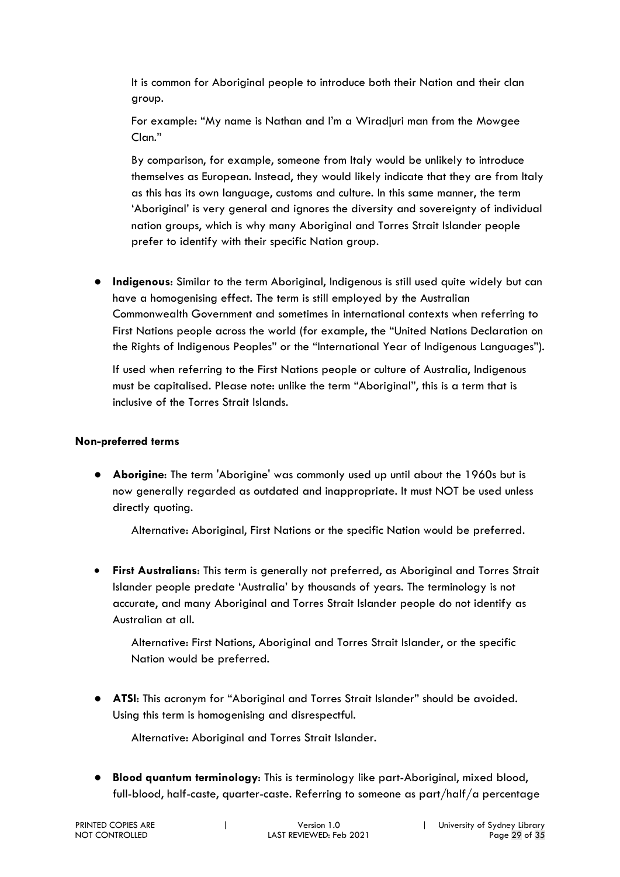It is common for Aboriginal people to introduce both their Nation and their clan group.

For example: "My name is Nathan and I'm a Wiradjuri man from the Mowgee Clan."

By comparison, for example, someone from Italy would be unlikely to introduce themselves as European. Instead, they would likely indicate that they are from Italy as this has its own language, customs and culture. In this same manner, the term 'Aboriginal' is very general and ignores the diversity and sovereignty of individual nation groups, which is why many Aboriginal and Torres Strait Islander people prefer to identify with their specific Nation group.

● **Indigenous**: Similar to the term Aboriginal, Indigenous is still used quite widely but can have a homogenising effect. The term is still employed by the Australian Commonwealth Government and sometimes in international contexts when referring to First Nations people across the world (for example, the "United Nations Declaration on the Rights of Indigenous Peoples" or the "International Year of Indigenous Languages").

If used when referring to the First Nations people or culture of Australia, Indigenous must be capitalised. Please note: unlike the term "Aboriginal", this is a term that is inclusive of the Torres Strait Islands.

#### **Non-preferred terms**

● **Aborigine**: The term 'Aborigine' was commonly used up until about the 1960s but is now generally regarded as outdated and inappropriate. It must NOT be used unless directly quoting.

Alternative: Aboriginal, First Nations or the specific Nation would be preferred.

• **First Australians**: This term is generally not preferred, as Aboriginal and Torres Strait Islander people predate 'Australia' by thousands of years. The terminology is not accurate, and many Aboriginal and Torres Strait Islander people do not identify as Australian at all.

Alternative: First Nations, Aboriginal and Torres Strait Islander, or the specific Nation would be preferred.

● **ATSI**: This acronym for "Aboriginal and Torres Strait Islander" should be avoided. Using this term is homogenising and disrespectful.

Alternative: Aboriginal and Torres Strait Islander.

● **Blood quantum terminology**: This is terminology like part-Aboriginal, mixed blood, full-blood, half-caste, quarter-caste. Referring to someone as part/half/a percentage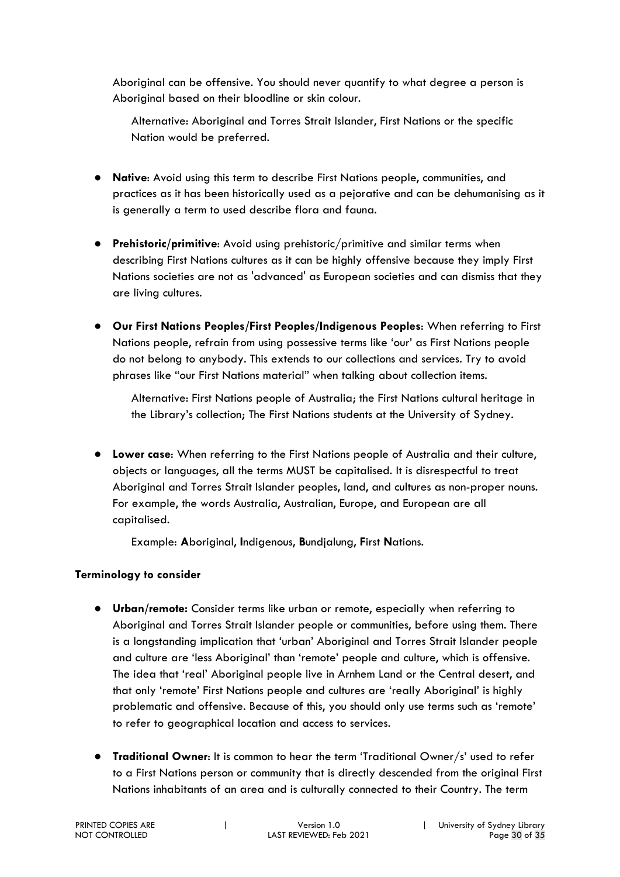Aboriginal can be offensive. You should never quantify to what degree a person is Aboriginal based on their bloodline or skin colour.

Alternative: Aboriginal and Torres Strait Islander, First Nations or the specific Nation would be preferred.

- **Native**: Avoid using this term to describe First Nations people, communities, and practices as it has been historically used as a pejorative and can be dehumanising as it is generally a term to used describe flora and fauna.
- **Prehistoric/primitive**: Avoid using prehistoric/primitive and similar terms when describing First Nations cultures as it can be highly offensive because they imply First Nations societies are not as 'advanced' as European societies and can dismiss that they are living cultures.
- **Our First Nations Peoples/First Peoples/Indigenous Peoples**: When referring to First Nations people, refrain from using possessive terms like 'our' as First Nations people do not belong to anybody. This extends to our collections and services. Try to avoid phrases like "our First Nations material" when talking about collection items.

Alternative: First Nations people of Australia; the First Nations cultural heritage in the Library's collection; The First Nations students at the University of Sydney.

● **Lower case**: When referring to the First Nations people of Australia and their culture, objects or languages, all the terms MUST be capitalised. It is disrespectful to treat Aboriginal and Torres Strait Islander peoples, land, and cultures as non-proper nouns. For example, the words Australia, Australian, Europe, and European are all capitalised.

Example: **A**boriginal, **I**ndigenous, **B**undjalung, **F**irst **N**ations.

#### **Terminology to consider**

- **Urban/remote:** Consider terms like urban or remote, especially when referring to Aboriginal and Torres Strait Islander people or communities, before using them. There is a longstanding implication that 'urban' Aboriginal and Torres Strait Islander people and culture are 'less Aboriginal' than 'remote' people and culture, which is offensive. The idea that 'real' Aboriginal people live in Arnhem Land or the Central desert, and that only 'remote' First Nations people and cultures are 'really Aboriginal' is highly problematic and offensive. Because of this, you should only use terms such as 'remote' to refer to geographical location and access to services.
- **Traditional Owner**: It is common to hear the term 'Traditional Owner/s' used to refer to a First Nations person or community that is directly descended from the original First Nations inhabitants of an area and is culturally connected to their Country. The term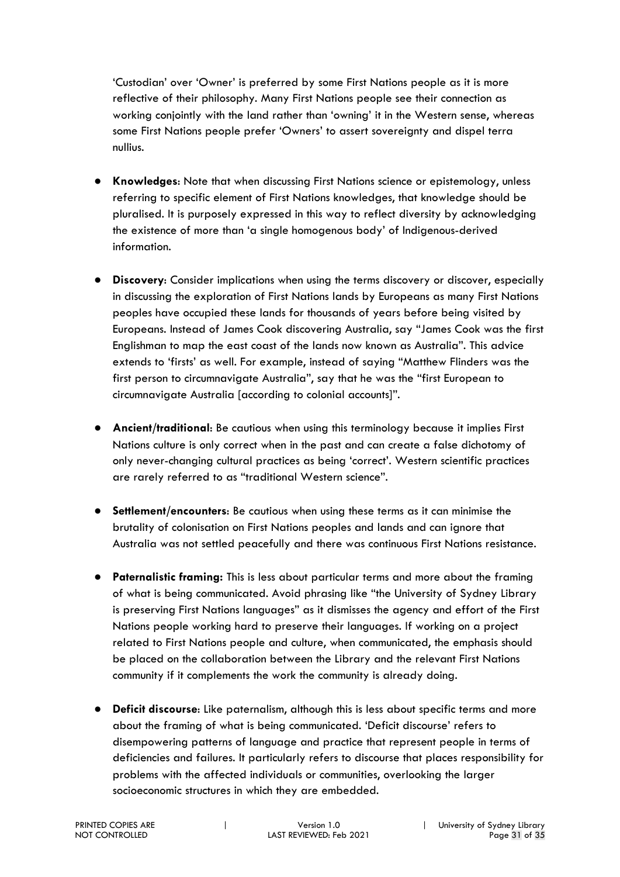'Custodian' over 'Owner' is preferred by some First Nations people as it is more reflective of their philosophy. Many First Nations people see their connection as working conjointly with the land rather than 'owning' it in the Western sense, whereas some First Nations people prefer 'Owners' to assert sovereignty and dispel terra nullius.

- **Knowledges**: Note that when discussing First Nations science or epistemology, unless referring to specific element of First Nations knowledges, that knowledge should be pluralised. It is purposely expressed in this way to reflect diversity by acknowledging the existence of more than 'a single homogenous body' of Indigenous-derived information.
- **Discovery:** Consider implications when using the terms discovery or discover, especially in discussing the exploration of First Nations lands by Europeans as many First Nations peoples have occupied these lands for thousands of years before being visited by Europeans. Instead of James Cook discovering Australia, say "James Cook was the first Englishman to map the east coast of the lands now known as Australia". This advice extends to 'firsts' as well. For example, instead of saying "Matthew Flinders was the first person to circumnavigate Australia", say that he was the "first European to circumnavigate Australia [according to colonial accounts]".
- **Ancient/traditional**: Be cautious when using this terminology because it implies First Nations culture is only correct when in the past and can create a false dichotomy of only never-changing cultural practices as being 'correct'. Western scientific practices are rarely referred to as "traditional Western science".
- **Settlement/encounters**: Be cautious when using these terms as it can minimise the brutality of colonisation on First Nations peoples and lands and can ignore that Australia was not settled peacefully and there was continuous First Nations resistance.
- **Paternalistic framing:** This is less about particular terms and more about the framing of what is being communicated. Avoid phrasing like "the University of Sydney Library is preserving First Nations languages" as it dismisses the agency and effort of the First Nations people working hard to preserve their languages. If working on a project related to First Nations people and culture, when communicated, the emphasis should be placed on the collaboration between the Library and the relevant First Nations community if it complements the work the community is already doing.
- **Deficit discourse**: Like paternalism, although this is less about specific terms and more about the framing of what is being communicated. 'Deficit discourse' refers to disempowering patterns of language and practice that represent people in terms of deficiencies and failures. It particularly refers to discourse that places responsibility for problems with the affected individuals or communities, overlooking the larger socioeconomic structures in which they are embedded.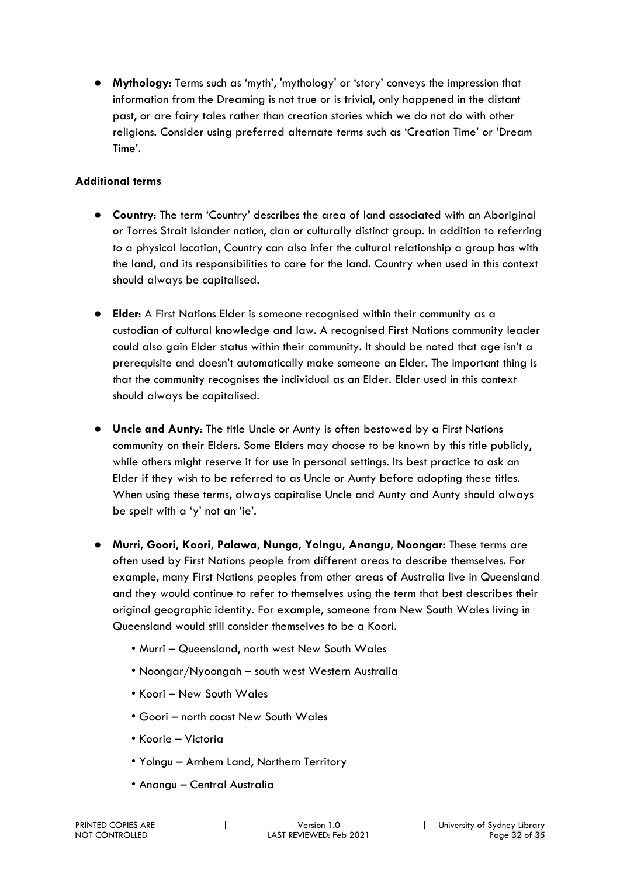● **Mythology**: Terms such as 'myth', 'mythology' or 'story' conveys the impression that information from the Dreaming is not true or is trivial, only happened in the distant past, or are fairy tales rather than creation stories which we do not do with other religions. Consider using preferred alternate terms such as 'Creation Time' or 'Dream Time'.

#### **Additional terms**

- **Country**: The term 'Country' describes the area of land associated with an Aboriginal or Torres Strait Islander nation, clan or culturally distinct group. In addition to referring to a physical location, Country can also infer the cultural relationship a group has with the land, and its responsibilities to care for the land. Country when used in this context should always be capitalised.
- **Elder**: A First Nations Elder is someone recognised within their community as a custodian of cultural knowledge and law. A recognised First Nations community leader could also gain Elder status within their community. It should be noted that age isn't a prerequisite and doesn't automatically make someone an Elder. The important thing is that the community recognises the individual as an Elder. Elder used in this context should always be capitalised.
- **Uncle and Aunty**: The title Uncle or Aunty is often bestowed by a First Nations community on their Elders. Some Elders may choose to be known by this title publicly, while others might reserve it for use in personal settings. Its best practice to ask an Elder if they wish to be referred to as Uncle or Aunty before adopting these titles. When using these terms, always capitalise Uncle and Aunty and Aunty should always be spelt with a 'y' not an 'ie'.
- **Murri, Goori, Koori, Palawa, Nunga, Yolngu, Anangu, Noongar:** These terms are often used by First Nations people from different areas to describe themselves. For example, many First Nations peoples from other areas of Australia live in Queensland and they would continue to refer to themselves using the term that best describes their original geographic identity. For example, someone from New South Wales living in Queensland would still consider themselves to be a Koori.
	- Murri Queensland, north west New South Wales
	- Noongar/Nyoongah south west Western Australia
	- Koori New South Wales
	- Goori north coast New South Wales
	- Koorie Victoria
	- Yolngu Arnhem Land, Northern Territory
	- Anangu Central Australia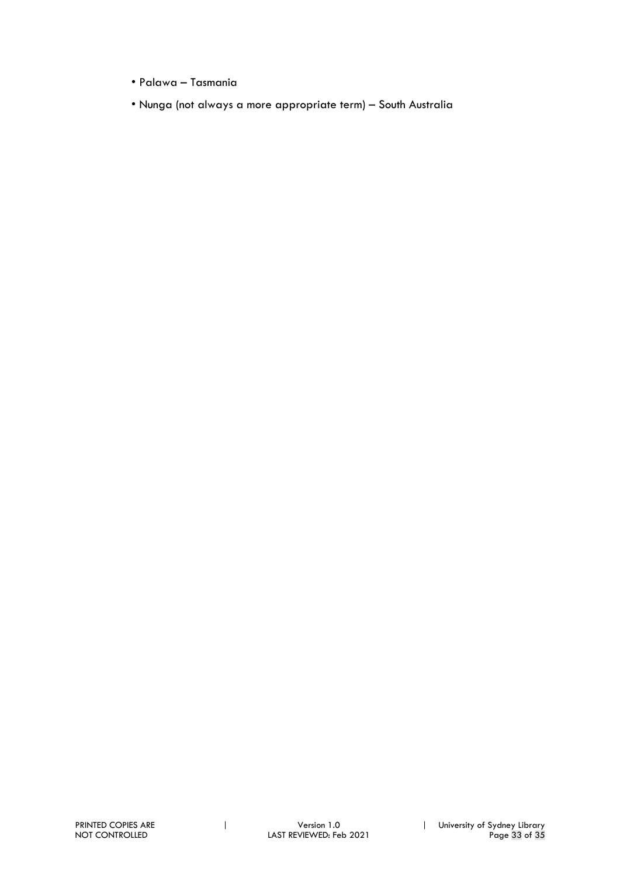- Palawa Tasmania
- Nunga (not always a more appropriate term) South Australia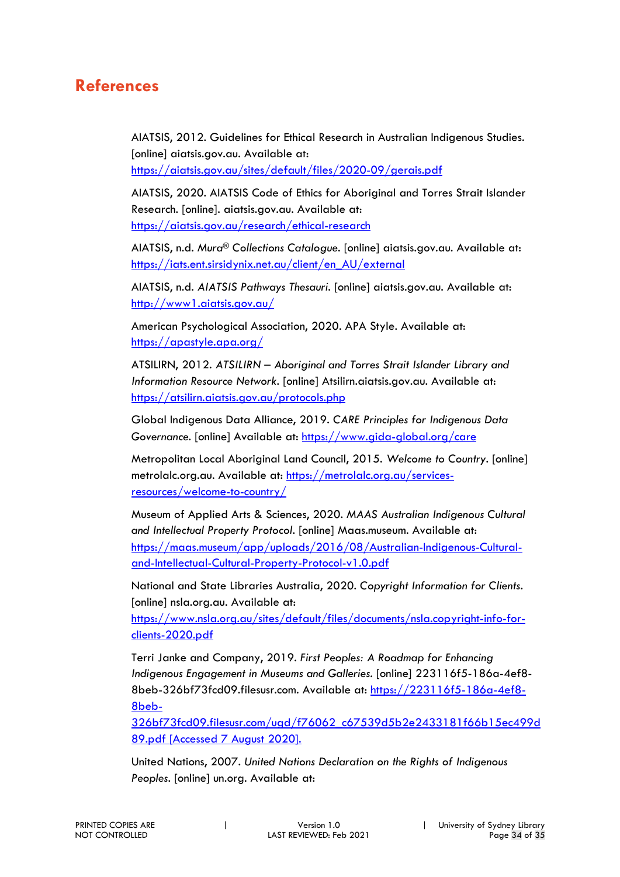## **References**

AIATSIS, 2012. Guidelines for Ethical Research in Australian Indigenous Studies. [online] aiatsis.gov.au. Available at: https://aiatsis.gov.au/sites/default/files/2020-09/gerais.pdf

AIATSIS, 2020. AIATSIS Code of Ethics for Aboriginal and Torres Strait Islander Research. [online]. aiatsis.gov.au. Available at:

https://aiatsis.gov.au/research/ethical-research

AIATSIS, n.d. *Mura® Collections Catalogue*. [online] aiatsis.gov.au. Available at: https://iats.ent.sirsidynix.net.au/client/en\_AU/external

AIATSIS, n.d. *AIATSIS Pathways Thesauri*. [online] aiatsis.gov.au. Available at: http://www1.aiatsis.gov.au/

American Psychological Association, 2020. APA Style. Available at: https://apastyle.apa.org/

ATSILIRN, 2012. *ATSILIRN – Aboriginal and Torres Strait Islander Library and Information Resource Network*. [online] Atsilirn.aiatsis.gov.au. Available at: https://atsilirn.aiatsis.gov.au/protocols.php

Global Indigenous Data Alliance, 2019. *CARE Principles for Indigenous Data Governance*. [online] Available at: https://www.gida-global.org/care

Metropolitan Local Aboriginal Land Council, 2015. *Welcome to Country.* [online] metrolalc.org.au. Available at: https://metrolalc.org.au/servicesresources/welcome-to-country/

Museum of Applied Arts & Sciences, 2020. *MAAS Australian Indigenous Cultural and Intellectual Property Protocol*. [online] Maas.museum. Available at: https://maas.museum/app/uploads/2016/08/Australian-Indigenous-Culturaland-Intellectual-Cultural-Property-Protocol-v1.0.pdf

National and State Libraries Australia, 2020. *Copyright Information for Clients*. [online] nsla.org.au. Available at:

https://www.nsla.org.au/sites/default/files/documents/nsla.copyright-info-forclients-2020.pdf

Terri Janke and Company, 2019. *First Peoples: A Roadmap for Enhancing Indigenous Engagement in Museums and Galleries*. [online] 223116f5-186a-4ef8- 8beb-326bf73fcd09.filesusr.com. Available at: https://223116f5-186a-4ef8- 8beb-

326bf73fcd09.filesusr.com/ugd/f76062\_c67539d5b2e2433181f66b15ec499d 89.pdf [Accessed 7 August 2020].

United Nations, 2007. *United Nations Declaration on the Rights of Indigenous Peoples*. [online] un.org. Available at: